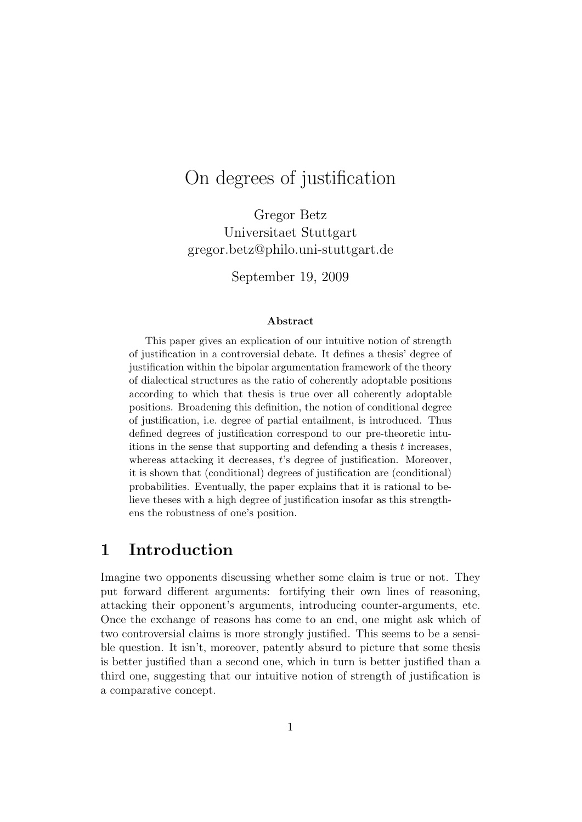# On degrees of justification

Gregor Betz Universitaet Stuttgart gregor.betz@philo.uni-stuttgart.de

September 19, 2009

### Abstract

This paper gives an explication of our intuitive notion of strength of justification in a controversial debate. It defines a thesis' degree of justification within the bipolar argumentation framework of the theory of dialectical structures as the ratio of coherently adoptable positions according to which that thesis is true over all coherently adoptable positions. Broadening this definition, the notion of conditional degree of justification, i.e. degree of partial entailment, is introduced. Thus defined degrees of justification correspond to our pre-theoretic intuitions in the sense that supporting and defending a thesis  $t$  increases, whereas attacking it decreases, t's degree of justification. Moreover, it is shown that (conditional) degrees of justification are (conditional) probabilities. Eventually, the paper explains that it is rational to believe theses with a high degree of justification insofar as this strengthens the robustness of one's position.

### 1 Introduction

Imagine two opponents discussing whether some claim is true or not. They put forward different arguments: fortifying their own lines of reasoning, attacking their opponent's arguments, introducing counter-arguments, etc. Once the exchange of reasons has come to an end, one might ask which of two controversial claims is more strongly justified. This seems to be a sensible question. It isn't, moreover, patently absurd to picture that some thesis is better justified than a second one, which in turn is better justified than a third one, suggesting that our intuitive notion of strength of justification is a comparative concept.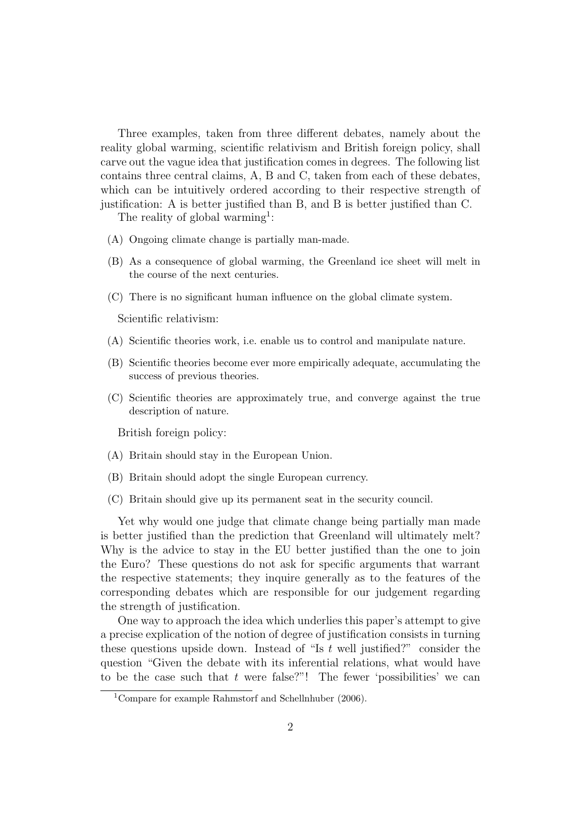Three examples, taken from three different debates, namely about the reality global warming, scientific relativism and British foreign policy, shall carve out the vague idea that justification comes in degrees. The following list contains three central claims, A, B and C, taken from each of these debates, which can be intuitively ordered according to their respective strength of justification: A is better justified than B, and B is better justified than C.

The reality of global warming<sup>1</sup>:

- (A) Ongoing climate change is partially man-made.
- (B) As a consequence of global warming, the Greenland ice sheet will melt in the course of the next centuries.
- (C) There is no significant human influence on the global climate system.

Scientific relativism:

- (A) Scientific theories work, i.e. enable us to control and manipulate nature.
- (B) Scientific theories become ever more empirically adequate, accumulating the success of previous theories.
- (C) Scientific theories are approximately true, and converge against the true description of nature.

British foreign policy:

- (A) Britain should stay in the European Union.
- (B) Britain should adopt the single European currency.
- (C) Britain should give up its permanent seat in the security council.

Yet why would one judge that climate change being partially man made is better justified than the prediction that Greenland will ultimately melt? Why is the advice to stay in the EU better justified than the one to join the Euro? These questions do not ask for specific arguments that warrant the respective statements; they inquire generally as to the features of the corresponding debates which are responsible for our judgement regarding the strength of justification.

One way to approach the idea which underlies this paper's attempt to give a precise explication of the notion of degree of justification consists in turning these questions upside down. Instead of "Is  $t$  well justified?" consider the question "Given the debate with its inferential relations, what would have to be the case such that  $t$  were false?"! The fewer 'possibilities' we can

<sup>1</sup>Compare for example Rahmstorf and Schellnhuber (2006).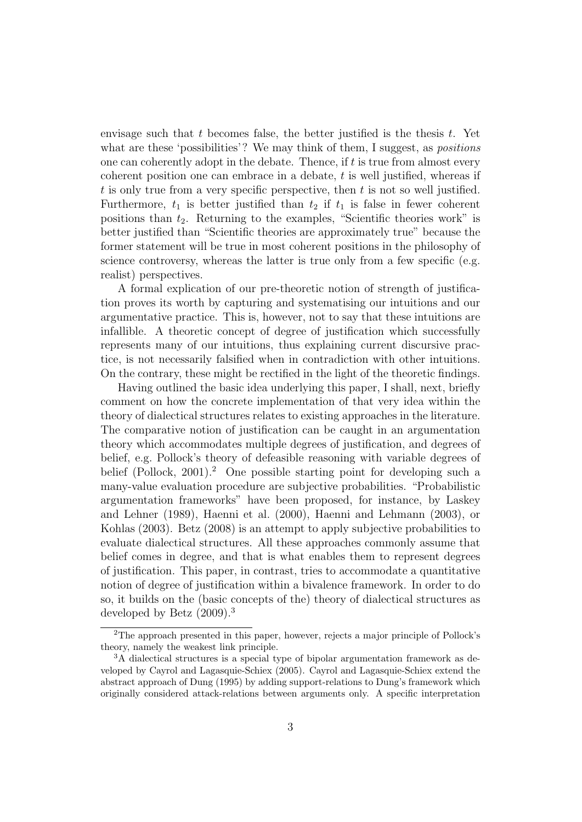envisage such that  $t$  becomes false, the better justified is the thesis  $t$ . Yet what are these 'possibilities'? We may think of them, I suggest, as *positions* one can coherently adopt in the debate. Thence, if  $t$  is true from almost every coherent position one can embrace in a debate,  $t$  is well justified, whereas if t is only true from a very specific perspective, then  $t$  is not so well justified. Furthermore,  $t_1$  is better justified than  $t_2$  if  $t_1$  is false in fewer coherent positions than  $t_2$ . Returning to the examples, "Scientific theories work" is better justified than "Scientific theories are approximately true" because the former statement will be true in most coherent positions in the philosophy of science controversy, whereas the latter is true only from a few specific (e.g. realist) perspectives.

A formal explication of our pre-theoretic notion of strength of justification proves its worth by capturing and systematising our intuitions and our argumentative practice. This is, however, not to say that these intuitions are infallible. A theoretic concept of degree of justification which successfully represents many of our intuitions, thus explaining current discursive practice, is not necessarily falsified when in contradiction with other intuitions. On the contrary, these might be rectified in the light of the theoretic findings.

Having outlined the basic idea underlying this paper, I shall, next, briefly comment on how the concrete implementation of that very idea within the theory of dialectical structures relates to existing approaches in the literature. The comparative notion of justification can be caught in an argumentation theory which accommodates multiple degrees of justification, and degrees of belief, e.g. Pollock's theory of defeasible reasoning with variable degrees of belief (Pollock, 2001).<sup>2</sup> One possible starting point for developing such a many-value evaluation procedure are subjective probabilities. "Probabilistic argumentation frameworks" have been proposed, for instance, by Laskey and Lehner (1989), Haenni et al. (2000), Haenni and Lehmann (2003), or Kohlas (2003). Betz (2008) is an attempt to apply subjective probabilities to evaluate dialectical structures. All these approaches commonly assume that belief comes in degree, and that is what enables them to represent degrees of justification. This paper, in contrast, tries to accommodate a quantitative notion of degree of justification within a bivalence framework. In order to do so, it builds on the (basic concepts of the) theory of dialectical structures as developed by Betz (2009).<sup>3</sup>

<sup>2</sup>The approach presented in this paper, however, rejects a major principle of Pollock's theory, namely the weakest link principle.

<sup>3</sup>A dialectical structures is a special type of bipolar argumentation framework as developed by Cayrol and Lagasquie-Schiex (2005). Cayrol and Lagasquie-Schiex extend the abstract approach of Dung (1995) by adding support-relations to Dung's framework which originally considered attack-relations between arguments only. A specific interpretation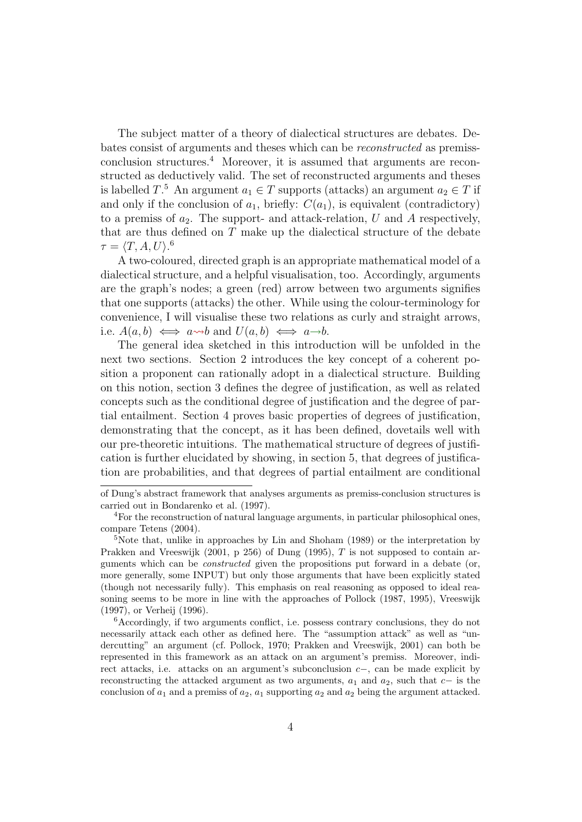The subject matter of a theory of dialectical structures are debates. Debates consist of arguments and theses which can be reconstructed as premissconclusion structures.<sup>4</sup> Moreover, it is assumed that arguments are reconstructed as deductively valid. The set of reconstructed arguments and theses is labelled  $T^5$  An argument  $a_1 \in T$  supports (attacks) an argument  $a_2 \in T$  if and only if the conclusion of  $a_1$ , briefly:  $C(a_1)$ , is equivalent (contradictory) to a premiss of  $a_2$ . The support- and attack-relation, U and A respectively, that are thus defined on  $T$  make up the dialectical structure of the debate  $\tau = \langle T, A, U \rangle$ .<sup>6</sup>

A two-coloured, directed graph is an appropriate mathematical model of a dialectical structure, and a helpful visualisation, too. Accordingly, arguments are the graph's nodes; a green (red) arrow between two arguments signifies that one supports (attacks) the other. While using the colour-terminology for convenience, I will visualise these two relations as curly and straight arrows, i.e.  $A(a, b) \iff a \rightarrow b$  and  $U(a, b) \iff a \rightarrow b$ .

The general idea sketched in this introduction will be unfolded in the next two sections. Section 2 introduces the key concept of a coherent position a proponent can rationally adopt in a dialectical structure. Building on this notion, section 3 defines the degree of justification, as well as related concepts such as the conditional degree of justification and the degree of partial entailment. Section 4 proves basic properties of degrees of justification, demonstrating that the concept, as it has been defined, dovetails well with our pre-theoretic intuitions. The mathematical structure of degrees of justification is further elucidated by showing, in section 5, that degrees of justification are probabilities, and that degrees of partial entailment are conditional

of Dung's abstract framework that analyses arguments as premiss-conclusion structures is carried out in Bondarenko et al. (1997).

<sup>4</sup>For the reconstruction of natural language arguments, in particular philosophical ones, compare Tetens (2004).

<sup>5</sup>Note that, unlike in approaches by Lin and Shoham (1989) or the interpretation by Prakken and Vreeswijk  $(2001, p 256)$  of Dung  $(1995), T$  is not supposed to contain arguments which can be constructed given the propositions put forward in a debate (or, more generally, some INPUT) but only those arguments that have been explicitly stated (though not necessarily fully). This emphasis on real reasoning as opposed to ideal reasoning seems to be more in line with the approaches of Pollock (1987, 1995), Vreeswijk (1997), or Verheij (1996).

<sup>6</sup>Accordingly, if two arguments conflict, i.e. possess contrary conclusions, they do not necessarily attack each other as defined here. The "assumption attack" as well as "undercutting" an argument (cf. Pollock, 1970; Prakken and Vreeswijk, 2001) can both be represented in this framework as an attack on an argument's premiss. Moreover, indirect attacks, i.e. attacks on an argument's subconclusion c−, can be made explicit by reconstructing the attacked argument as two arguments,  $a_1$  and  $a_2$ , such that  $c-$  is the conclusion of  $a_1$  and a premiss of  $a_2$ ,  $a_1$  supporting  $a_2$  and  $a_2$  being the argument attacked.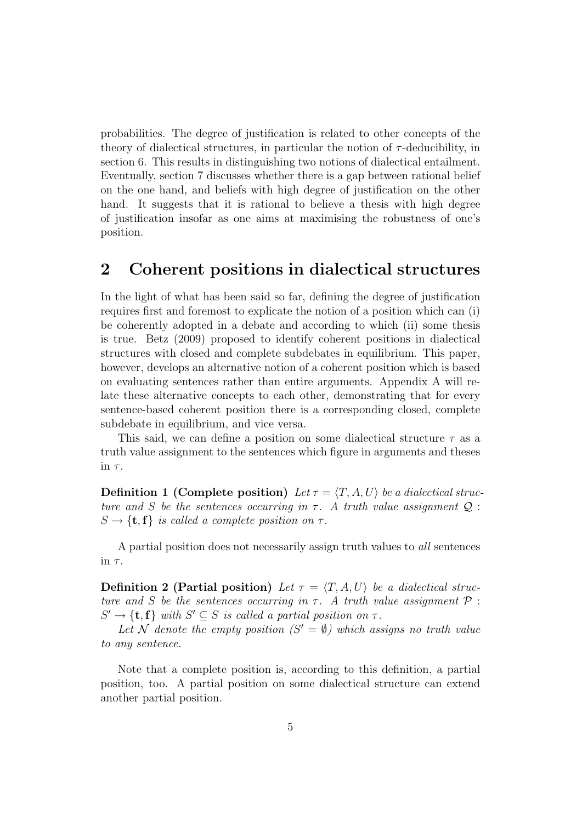probabilities. The degree of justification is related to other concepts of the theory of dialectical structures, in particular the notion of  $\tau$ -deducibility, in section 6. This results in distinguishing two notions of dialectical entailment. Eventually, section 7 discusses whether there is a gap between rational belief on the one hand, and beliefs with high degree of justification on the other hand. It suggests that it is rational to believe a thesis with high degree of justification insofar as one aims at maximising the robustness of one's position.

## 2 Coherent positions in dialectical structures

In the light of what has been said so far, defining the degree of justification requires first and foremost to explicate the notion of a position which can (i) be coherently adopted in a debate and according to which (ii) some thesis is true. Betz (2009) proposed to identify coherent positions in dialectical structures with closed and complete subdebates in equilibrium. This paper, however, develops an alternative notion of a coherent position which is based on evaluating sentences rather than entire arguments. Appendix A will relate these alternative concepts to each other, demonstrating that for every sentence-based coherent position there is a corresponding closed, complete subdebate in equilibrium, and vice versa.

This said, we can define a position on some dialectical structure  $\tau$  as a truth value assignment to the sentences which figure in arguments and theses in  $\tau$ .

**Definition 1 (Complete position)** Let  $\tau = \langle T, A, U \rangle$  be a dialectical structure and S be the sentences occurring in  $\tau$ . A truth value assignment  $\mathcal{Q}$ :  $S \to \{\mathbf{t}, \mathbf{f}\}\$ is called a complete position on  $\tau$ .

A partial position does not necessarily assign truth values to all sentences in  $\tau$ .

Definition 2 (Partial position) Let  $\tau = \langle T, A, U \rangle$  be a dialectical structure and S be the sentences occurring in  $\tau$ . A truth value assignment  $\mathcal P$ :  $S' \to \{\mathbf{t}, \mathbf{f}\}\$  with  $S' \subseteq S$  is called a partial position on  $\tau$ .

Let N denote the empty position  $(S' = \emptyset)$  which assigns no truth value to any sentence.

Note that a complete position is, according to this definition, a partial position, too. A partial position on some dialectical structure can extend another partial position.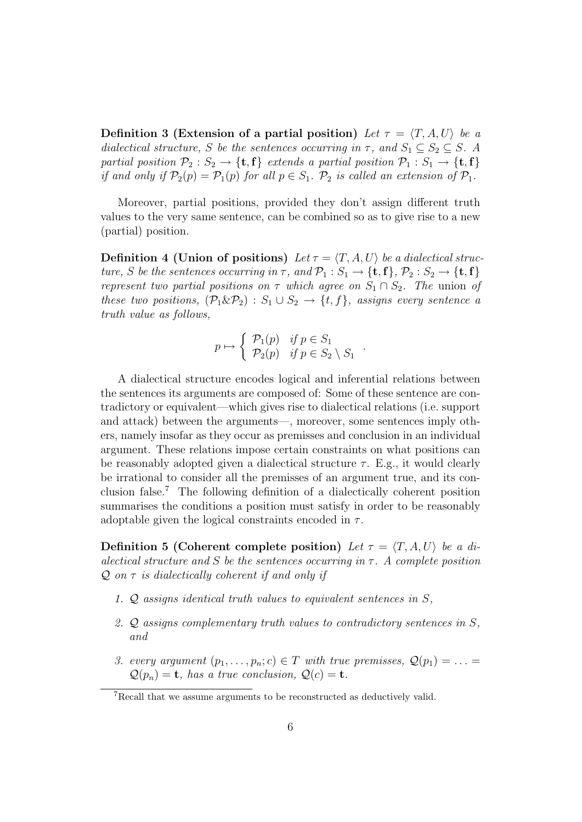Definition 3 (Extension of a partial position) Let  $\tau = \langle T, A, U \rangle$  be a dialectical structure, S be the sentences occurring in  $\tau$ , and  $S_1 \subseteq S_2 \subseteq S$ . A partial position  $\mathcal{P}_2 : S_2 \to \{\mathbf{t}, \mathbf{f}\}\$ extends a partial position  $\mathcal{P}_1 : S_1 \to \{\mathbf{t}, \mathbf{f}\}\$ if and only if  $\mathcal{P}_2(p) = \mathcal{P}_1(p)$  for all  $p \in S_1$ .  $\mathcal{P}_2$  is called an extension of  $\mathcal{P}_1$ .

Moreover, partial positions, provided they don't assign different truth values to the very same sentence, can be combined so as to give rise to a new (partial) position.

**Definition 4 (Union of positions)** Let  $\tau = \langle T, A, U \rangle$  be a dialectical structure, S be the sentences occurring in  $\tau$ , and  $\mathcal{P}_1 : S_1 \to \{\mathbf{t}, \mathbf{f}\}, \mathcal{P}_2 : S_2 \to \{\mathbf{t}, \mathbf{f}\}\$ represent two partial positions on  $\tau$  which agree on  $S_1 \cap S_2$ . The union of these two positions,  $(\mathcal{P}_1 \& \mathcal{P}_2) : S_1 \cup S_2 \rightarrow \{t, f\}$ , assigns every sentence a truth value as follows,

$$
p \mapsto \begin{cases} \mathcal{P}_1(p) & \text{if } p \in S_1 \\ \mathcal{P}_2(p) & \text{if } p \in S_2 \setminus S_1 \end{cases}.
$$

A dialectical structure encodes logical and inferential relations between the sentences its arguments are composed of: Some of these sentence are contradictory or equivalent—which gives rise to dialectical relations (i.e. support and attack) between the arguments—, moreover, some sentences imply others, namely insofar as they occur as premisses and conclusion in an individual argument. These relations impose certain constraints on what positions can be reasonably adopted given a dialectical structure  $\tau$ . E.g., it would clearly be irrational to consider all the premisses of an argument true, and its conclusion false.<sup>7</sup> The following definition of a dialectically coherent position summarises the conditions a position must satisfy in order to be reasonably adoptable given the logical constraints encoded in  $\tau$ .

Definition 5 (Coherent complete position) Let  $\tau = \langle T, A, U \rangle$  be a dialectical structure and S be the sentences occurring in  $\tau$ . A complete position  $Q$  on  $\tau$  is dialectically coherent if and only if

- 1. Q assigns identical truth values to equivalent sentences in S,
- 2. Q assigns complementary truth values to contradictory sentences in S, and
- 3. every argument  $(p_1, \ldots, p_n; c) \in T$  with true premisses,  $\mathcal{Q}(p_1) = \ldots =$  $\mathcal{Q}(p_n) = \mathbf{t}$ , has a true conclusion,  $\mathcal{Q}(c) = \mathbf{t}$ .

<sup>7</sup>Recall that we assume arguments to be reconstructed as deductively valid.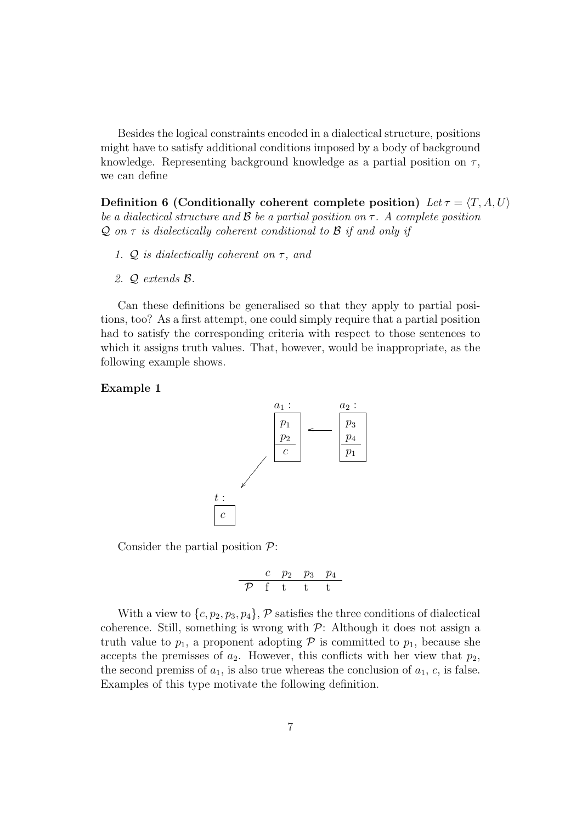Besides the logical constraints encoded in a dialectical structure, positions might have to satisfy additional conditions imposed by a body of background knowledge. Representing background knowledge as a partial position on  $\tau$ , we can define

Definition 6 (Conditionally coherent complete position)  $Let \tau = \langle T, A, U \rangle$ be a dialectical structure and  $\beta$  be a partial position on  $\tau$ . A complete position  $Q$  on  $\tau$  is dialectically coherent conditional to  $B$  if and only if

- 1.  $Q$  is dialectically coherent on  $\tau$ , and
- 2. Q extends B.

Can these definitions be generalised so that they apply to partial positions, too? As a first attempt, one could simply require that a partial position had to satisfy the corresponding criteria with respect to those sentences to which it assigns truth values. That, however, would be inappropriate, as the following example shows.

### Example 1



Consider the partial position  $\mathcal{P}$ :

$$
\begin{array}{c c c c}\n & c & p_2 & p_3 & p_4 \\
\hline\n\mathcal{P} & f & t & t\n\end{array}
$$

With a view to  $\{c, p_2, p_3, p_4\}, \mathcal{P}$  satisfies the three conditions of dialectical coherence. Still, something is wrong with  $P$ : Although it does not assign a truth value to  $p_1$ , a proponent adopting  $P$  is committed to  $p_1$ , because she accepts the premisses of  $a_2$ . However, this conflicts with her view that  $p_2$ , the second premiss of  $a_1$ , is also true whereas the conclusion of  $a_1, c$ , is false. Examples of this type motivate the following definition.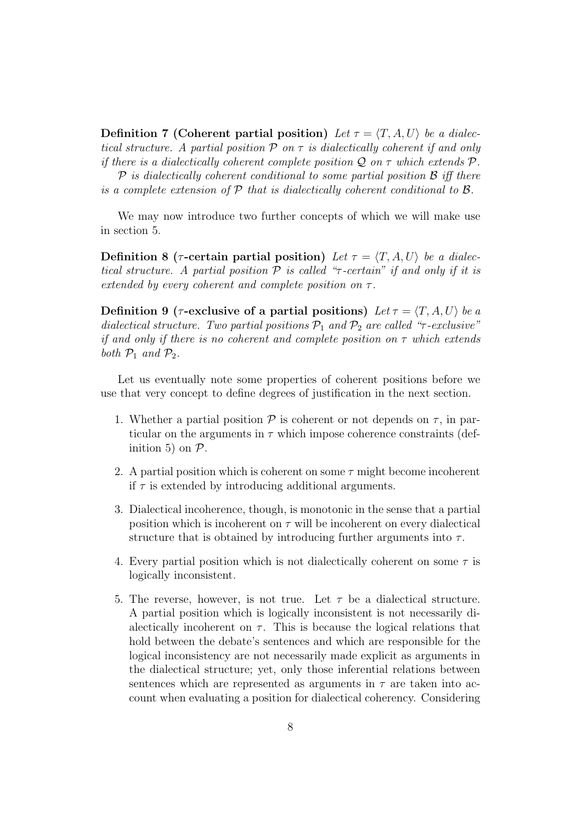**Definition 7 (Coherent partial position)** Let  $\tau = \langle T, A, U \rangle$  be a dialectical structure. A partial position  $P$  on  $\tau$  is dialectically coherent if and only if there is a dialectically coherent complete position  $Q$  on  $\tau$  which extends  $P$ .

 $P$  is dialectically coherent conditional to some partial position  $B$  iff there is a complete extension of  $P$  that is dialectically coherent conditional to  $B$ .

We may now introduce two further concepts of which we will make use in section 5.

Definition 8 ( $\tau$ -certain partial position) Let  $\tau = \langle T, A, U \rangle$  be a dialectical structure. A partial position  $P$  is called " $\tau$ -certain" if and only if it is extended by every coherent and complete position on  $\tau$ .

Definition 9 ( $\tau$ -exclusive of a partial positions) Let  $\tau = \langle T, A, U \rangle$  be a dialectical structure. Two partial positions  $P_1$  and  $P_2$  are called " $\tau$ -exclusive" if and only if there is no coherent and complete position on  $\tau$  which extends both  $\mathcal{P}_1$  and  $\mathcal{P}_2$ .

Let us eventually note some properties of coherent positions before we use that very concept to define degrees of justification in the next section.

- 1. Whether a partial position  $P$  is coherent or not depends on  $\tau$ , in particular on the arguments in  $\tau$  which impose coherence constraints (definition 5) on  $\mathcal{P}$ .
- 2. A partial position which is coherent on some  $\tau$  might become incoherent if  $\tau$  is extended by introducing additional arguments.
- 3. Dialectical incoherence, though, is monotonic in the sense that a partial position which is incoherent on  $\tau$  will be incoherent on every dialectical structure that is obtained by introducing further arguments into  $\tau$ .
- 4. Every partial position which is not dialectically coherent on some  $\tau$  is logically inconsistent.
- 5. The reverse, however, is not true. Let  $\tau$  be a dialectical structure. A partial position which is logically inconsistent is not necessarily dialectically incoherent on  $\tau$ . This is because the logical relations that hold between the debate's sentences and which are responsible for the logical inconsistency are not necessarily made explicit as arguments in the dialectical structure; yet, only those inferential relations between sentences which are represented as arguments in  $\tau$  are taken into account when evaluating a position for dialectical coherency. Considering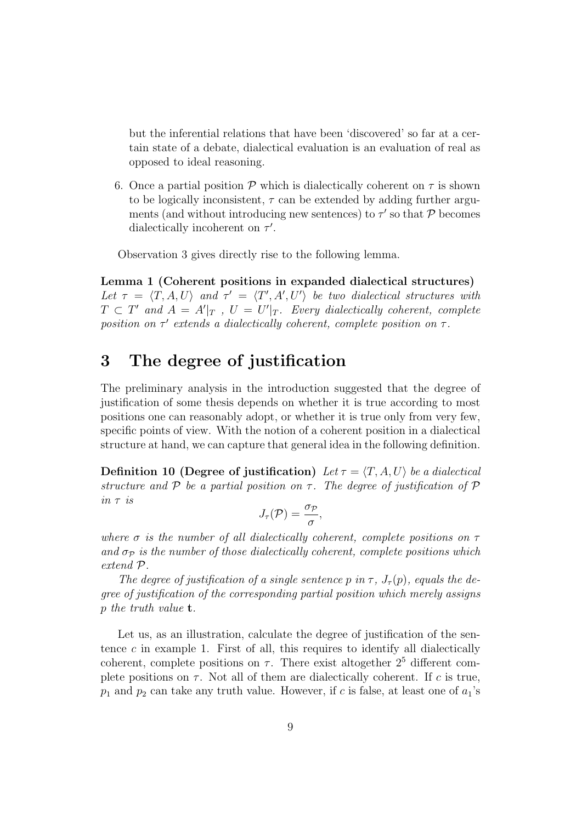but the inferential relations that have been 'discovered' so far at a certain state of a debate, dialectical evaluation is an evaluation of real as opposed to ideal reasoning.

6. Once a partial position  $P$  which is dialectically coherent on  $\tau$  is shown to be logically inconsistent,  $\tau$  can be extended by adding further arguments (and without introducing new sentences) to  $\tau'$  so that  $\mathcal P$  becomes dialectically incoherent on  $\tau'$ .

Observation 3 gives directly rise to the following lemma.

Lemma 1 (Coherent positions in expanded dialectical structures) Let  $\tau = \langle T, A, U \rangle$  and  $\tau' = \langle T', A', U' \rangle$  be two dialectical structures with  $T \subset T'$  and  $A = A'|_T$ ,  $U = U'|_T$ . Every dialectically coherent, complete position on  $\tau'$  extends a dialectically coherent, complete position on  $\tau$ .

## 3 The degree of justification

The preliminary analysis in the introduction suggested that the degree of justification of some thesis depends on whether it is true according to most positions one can reasonably adopt, or whether it is true only from very few, specific points of view. With the notion of a coherent position in a dialectical structure at hand, we can capture that general idea in the following definition.

Definition 10 (Degree of justification) Let  $\tau = \langle T, A, U \rangle$  be a dialectical structure and P be a partial position on  $\tau$ . The degree of justification of P in  $\tau$  is

$$
J_{\tau}(\mathcal{P}) = \frac{\sigma_{\mathcal{P}}}{\sigma},
$$

where  $\sigma$  is the number of all dialectically coherent, complete positions on  $\tau$ and  $\sigma_{\mathcal{P}}$  is the number of those dialectically coherent, complete positions which extend P.

The degree of justification of a single sentence p in  $\tau$ ,  $J_{\tau}(p)$ , equals the degree of justification of the corresponding partial position which merely assigns p the truth value t.

Let us, as an illustration, calculate the degree of justification of the sentence  $c$  in example 1. First of all, this requires to identify all dialectically coherent, complete positions on  $\tau$ . There exist altogether  $2^5$  different complete positions on  $\tau$ . Not all of them are dialectically coherent. If c is true,  $p_1$  and  $p_2$  can take any truth value. However, if c is false, at least one of  $a_1$ 's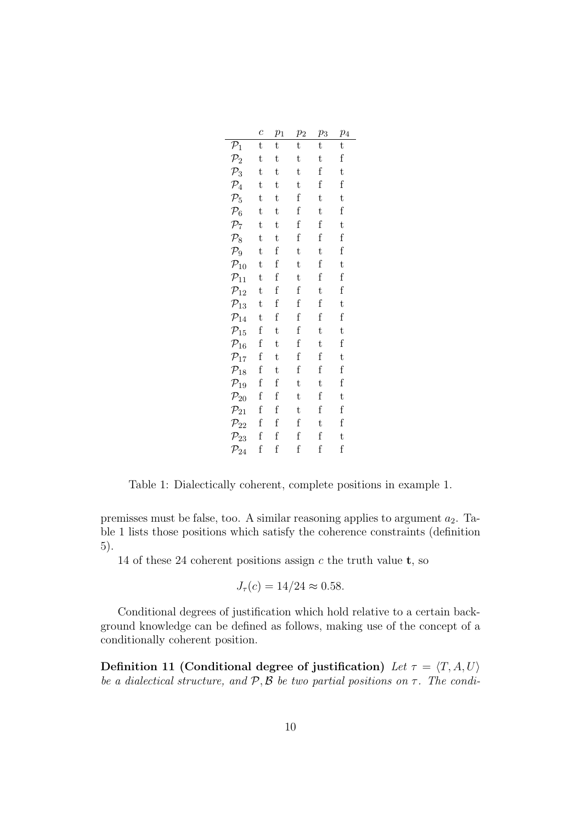|                    | $\overline{c}$ | $p_1$       | $p_2$       | $p_{3}$     | $\overline{p_4}$ |
|--------------------|----------------|-------------|-------------|-------------|------------------|
| $\mathcal{P}_1$    | t              | t           | t           | t           | t                |
| $\mathcal{P}_2$    | t              | t           | t           | t           | f                |
| $\mathcal{P}_3$    | t              | t           | t           | f           | t                |
| $\mathcal{P}_4$    | t              | t           | t           | f           | f                |
| $\mathcal{P}_5$    | t              | t           | f           | t           | t                |
| $\mathcal{P}_6$    | t              | t           | f           | t           | f                |
| $\mathcal{P}_7$    | t              | t           | f           | f           | t                |
| $\mathcal{P}_8$    | t              | $\mathbf t$ | f           | f           | f                |
| $\mathcal{P}_9$    | t              | f           | t           | t           | f                |
| $\mathcal{P}_{10}$ | t              | f           | t           | f           | t                |
| $\mathcal{P}_{11}$ | t              | f           | t           | f           | f                |
| $P_{12}$           | t              | f           | f           | t           | f                |
| $P_{13}$           | t              | f           | f           | $\rm f$     | t                |
| $\mathcal{P}_{14}$ | t              | f           | f           | f           | f                |
| $\mathcal{P}_{15}$ | f              | $\mathbf t$ | $\rm f$     | $\mathbf t$ | t                |
| $\mathcal{P}_{16}$ | f              | t           | f           | t           | f                |
| $\mathcal{P}_{17}$ | f              | t           | f           | f           | t                |
| $P_{18}$           | f              | t           | f           | f           | f                |
| $\mathcal{P}_{19}$ | f              | f           | t           | $\rm t$     | f                |
| $\mathcal{P}_{20}$ | f              | f           | t           | f           | t                |
| $\mathcal{P}_{21}$ | f              | f           | $\mathbf t$ | f           | f                |
| $\mathcal{P}_{22}$ | f              | f           | f           | t           | f                |
| $\mathcal{P}_{23}$ | f              | f           | $\rm f$     | f           | t                |
| $\mathcal{P}_{24}$ | f              | f           | f           | f           | f                |

Table 1: Dialectically coherent, complete positions in example 1.

premisses must be false, too. A similar reasoning applies to argument  $a_2$ . Table 1 lists those positions which satisfy the coherence constraints (definition 5).

14 of these 24 coherent positions assign  $c$  the truth value **t**, so

$$
J_{\tau}(c) = 14/24 \approx 0.58.
$$

Conditional degrees of justification which hold relative to a certain background knowledge can be defined as follows, making use of the concept of a conditionally coherent position.

Definition 11 (Conditional degree of justification) Let  $\tau = \langle T, A, U \rangle$ be a dialectical structure, and  $P$ ,  $B$  be two partial positions on  $\tau$ . The condi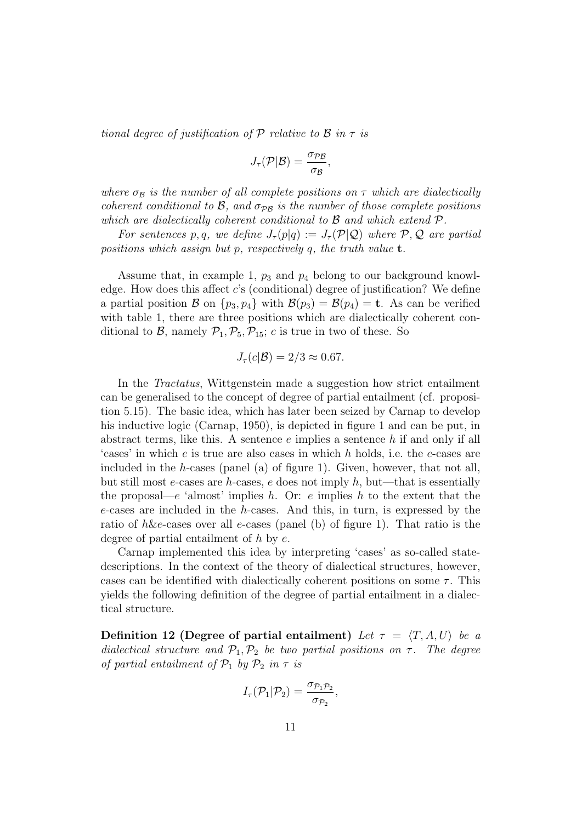tional degree of justification of P relative to B in  $\tau$  is

$$
J_{\tau}(\mathcal{P}|\mathcal{B})=\frac{\sigma_{\mathcal{P}\mathcal{B}}}{\sigma_{\mathcal{B}}},
$$

where  $\sigma_B$  is the number of all complete positions on  $\tau$  which are dialectically coherent conditional to B, and  $\sigma_{PB}$  is the number of those complete positions which are dialectically coherent conditional to  $\beta$  and which extend  $\mathcal{P}$ .

For sentences p, q, we define  $J_{\tau}(p|q) := J_{\tau}(p|Q)$  where  $P, Q$  are partial positions which assign but p, respectively q, the truth value t.

Assume that, in example 1,  $p_3$  and  $p_4$  belong to our background knowledge. How does this affect  $c$ 's (conditional) degree of justification? We define a partial position B on  $\{p_3, p_4\}$  with  $\mathcal{B}(p_3) = \mathcal{B}(p_4) = \mathbf{t}$ . As can be verified with table 1, there are three positions which are dialectically coherent conditional to B, namely  $P_1, P_5, P_{15}$ ; c is true in two of these. So

$$
J_{\tau}(c|\mathcal{B}) = 2/3 \approx 0.67.
$$

In the Tractatus, Wittgenstein made a suggestion how strict entailment can be generalised to the concept of degree of partial entailment (cf. proposition 5.15). The basic idea, which has later been seized by Carnap to develop his inductive logic (Carnap, 1950), is depicted in figure 1 and can be put, in abstract terms, like this. A sentence  $e$  implies a sentence  $h$  if and only if all 'cases' in which  $e$  is true are also cases in which  $h$  holds, i.e. the  $e$ -cases are included in the h-cases (panel (a) of figure 1). Given, however, that not all, but still most e-cases are h-cases, e does not imply h, but—that is essentially the proposal—e 'almost' implies h. Or: e implies h to the extent that the  $e$ -cases are included in the h-cases. And this, in turn, is expressed by the ratio of  $h\&e$ -cases over all e-cases (panel (b) of figure 1). That ratio is the degree of partial entailment of h by e.

Carnap implemented this idea by interpreting 'cases' as so-called statedescriptions. In the context of the theory of dialectical structures, however, cases can be identified with dialectically coherent positions on some  $\tau$ . This yields the following definition of the degree of partial entailment in a dialectical structure.

Definition 12 (Degree of partial entailment) Let  $\tau = \langle T, A, U \rangle$  be a dialectical structure and  $\mathcal{P}_1, \mathcal{P}_2$  be two partial positions on  $\tau$ . The degree of partial entailment of  $\mathcal{P}_1$  by  $\mathcal{P}_2$  in  $\tau$  is

$$
I_{\tau}(\mathcal{P}_1|\mathcal{P}_2) = \frac{\sigma_{\mathcal{P}_1\mathcal{P}_2}}{\sigma_{\mathcal{P}_2}},
$$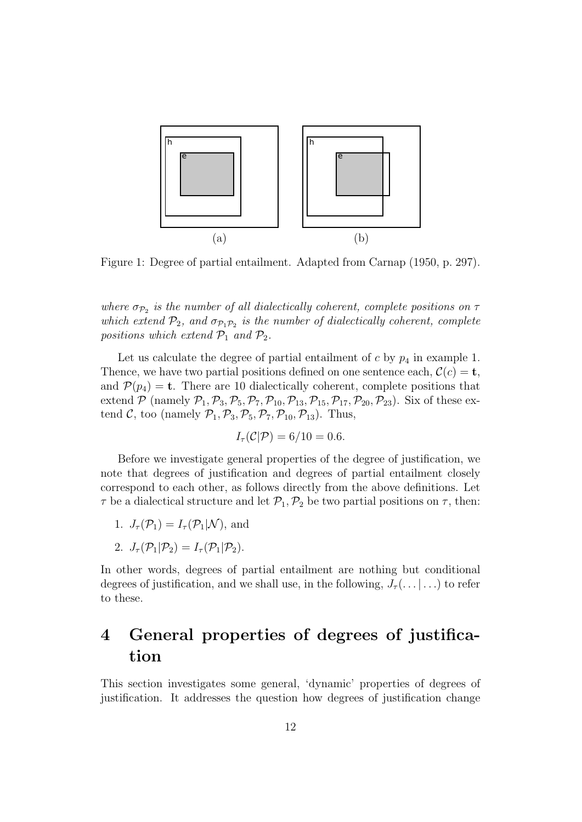

Figure 1: Degree of partial entailment. Adapted from Carnap (1950, p. 297).

where  $\sigma_{\mathcal{P}_2}$  is the number of all dialectically coherent, complete positions on  $\tau$ which extend  $\mathcal{P}_2$ , and  $\sigma_{\mathcal{P}_1\mathcal{P}_2}$  is the number of dialectically coherent, complete positions which extend  $P_1$  and  $P_2$ .

Let us calculate the degree of partial entailment of  $c$  by  $p_4$  in example 1. Thence, we have two partial positions defined on one sentence each,  $\mathcal{C}(c) = \mathbf{t}$ , and  $\mathcal{P}(p_4) = \mathbf{t}$ . There are 10 dialectically coherent, complete positions that extend  $\mathcal P$  (namely  $\mathcal P_1, \mathcal P_3, \mathcal P_5, \mathcal P_7, \mathcal P_{10}, \mathcal P_{13}, \mathcal P_{15}, \mathcal P_{17}, \mathcal P_{20}, \mathcal P_{23}$ ). Six of these extend C, too (namely  $\mathcal{P}_1, \mathcal{P}_3, \mathcal{P}_5, \mathcal{P}_7, \mathcal{P}_{10}, \mathcal{P}_{13}$ ). Thus,

$$
I_{\tau}(\mathcal{C}|\mathcal{P}) = 6/10 = 0.6.
$$

Before we investigate general properties of the degree of justification, we note that degrees of justification and degrees of partial entailment closely correspond to each other, as follows directly from the above definitions. Let  $\tau$  be a dialectical structure and let  $\mathcal{P}_1, \mathcal{P}_2$  be two partial positions on  $\tau$ , then:

1. 
$$
J_{\tau}(\mathcal{P}_1) = I_{\tau}(\mathcal{P}_1|\mathcal{N}),
$$
 and

2. 
$$
J_{\tau}(\mathcal{P}_1|\mathcal{P}_2)=I_{\tau}(\mathcal{P}_1|\mathcal{P}_2).
$$

In other words, degrees of partial entailment are nothing but conditional degrees of justification, and we shall use, in the following,  $J_{\tau}(\ldots | \ldots)$  to refer to these.

# 4 General properties of degrees of justification

This section investigates some general, 'dynamic' properties of degrees of justification. It addresses the question how degrees of justification change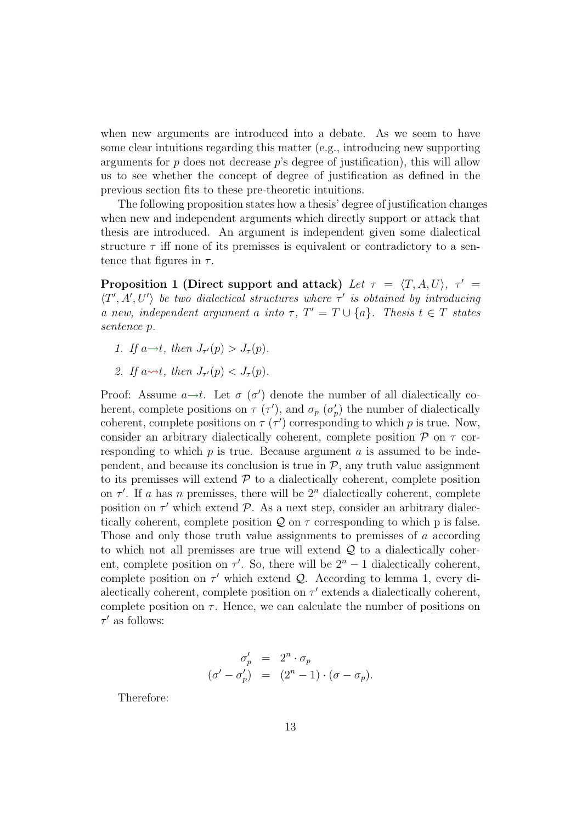when new arguments are introduced into a debate. As we seem to have some clear intuitions regarding this matter (e.g., introducing new supporting arguments for  $p$  does not decrease  $p$ 's degree of justification), this will allow us to see whether the concept of degree of justification as defined in the previous section fits to these pre-theoretic intuitions.

The following proposition states how a thesis' degree of justification changes when new and independent arguments which directly support or attack that thesis are introduced. An argument is independent given some dialectical structure  $\tau$  iff none of its premisses is equivalent or contradictory to a sentence that figures in  $\tau$ .

Proposition 1 (Direct support and attack) Let  $\tau = \langle T, A, U \rangle$ ,  $\tau' =$  $\langle T', A', U' \rangle$  be two dialectical structures where  $\tau'$  is obtained by introducing a new, independent argument a into  $\tau$ ,  $T' = T \cup \{a\}$ . Thesis  $t \in T$  states sentence p.

- 1. If  $a \rightarrow t$ , then  $J_{\tau}(p) > J_{\tau}(p)$ .
- 2. If  $a \rightarrow t$ , then  $J_{\tau}(p) < J_{\tau}(p)$ .

Proof: Assume  $a \rightarrow t$ . Let  $\sigma(\sigma')$  denote the number of all dialectically coherent, complete positions on  $\tau$  ( $\tau'$ ), and  $\sigma_p$  ( $\sigma'_p$ ) the number of dialectically coherent, complete positions on  $\tau(\tau')$  corresponding to which p is true. Now, consider an arbitrary dialectically coherent, complete position  $\mathcal P$  on  $\tau$  corresponding to which  $p$  is true. Because argument  $a$  is assumed to be independent, and because its conclusion is true in  $P$ , any truth value assignment to its premisses will extend  $P$  to a dialectically coherent, complete position on  $\tau'$ . If a has n premisses, there will be  $2^n$  dialectically coherent, complete position on  $\tau'$  which extend  $\mathcal{P}$ . As a next step, consider an arbitrary dialectically coherent, complete position  $\mathcal Q$  on  $\tau$  corresponding to which p is false. Those and only those truth value assignments to premisses of a according to which not all premisses are true will extend  $Q$  to a dialectically coherent, complete position on  $\tau'$ . So, there will be  $2^{n} - 1$  dialectically coherent, complete position on  $\tau'$  which extend Q. According to lemma 1, every dialectically coherent, complete position on  $\tau'$  extends a dialectically coherent, complete position on  $\tau$ . Hence, we can calculate the number of positions on  $\tau'$  as follows:

$$
\sigma'_p = 2^n \cdot \sigma_p
$$
  

$$
(\sigma' - \sigma'_p) = (2^n - 1) \cdot (\sigma - \sigma_p).
$$

Therefore: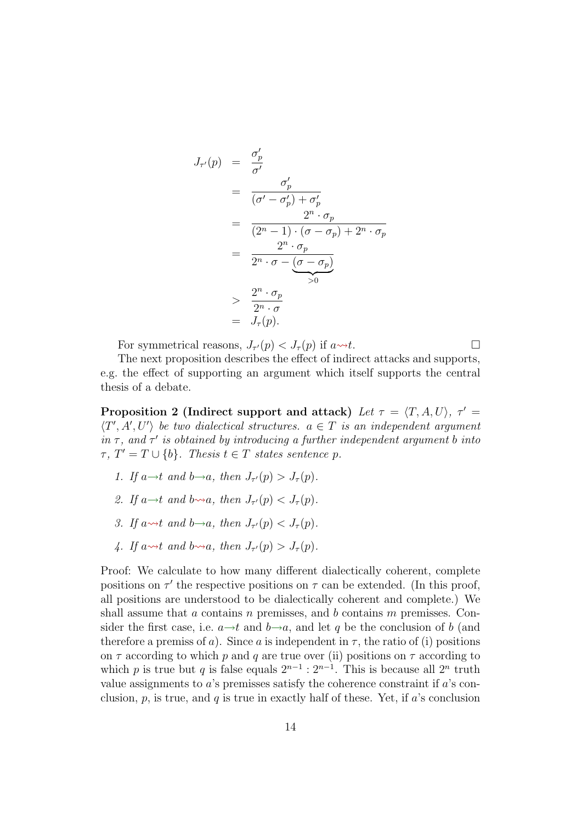$$
J_{\tau'}(p) = \frac{\sigma'_p}{\sigma'}
$$
  
\n
$$
= \frac{\sigma'_p}{(\sigma' - \sigma'_p) + \sigma'_p}
$$
  
\n
$$
= \frac{2^n \cdot \sigma_p}{(2^n - 1) \cdot (\sigma - \sigma_p) + 2^n \cdot \sigma_p}
$$
  
\n
$$
= \frac{2^n \cdot \sigma_p}{2^n \cdot \sigma - (\sigma - \sigma_p)}
$$
  
\n
$$
> \frac{2^n \cdot \sigma_p}{2^n \cdot \sigma}
$$
  
\n
$$
= J_{\tau}(p).
$$

For symmetrical reasons,  $J_{\tau}(p) < J_{\tau}(p)$  if  $a \rightarrow t$ .

The next proposition describes the effect of indirect attacks and supports, e.g. the effect of supporting an argument which itself supports the central thesis of a debate.

Proposition 2 (Indirect support and attack) Let  $\tau = \langle T, A, U \rangle$ ,  $\tau' =$  $\langle T', A', U' \rangle$  be two dialectical structures.  $a \in T$  is an independent argument in  $\tau$ , and  $\tau'$  is obtained by introducing a further independent argument b into  $\tau$ ,  $T' = T \cup \{b\}$ . Thesis  $t \in T$  states sentence p.

- 1. If  $a \rightarrow t$  and  $b \rightarrow a$ , then  $J_{\tau}(p) > J_{\tau}(p)$ .
- 2. If  $a \rightarrow t$  and  $b \rightarrow a$ , then  $J_{\tau}(p) < J_{\tau}(p)$ .
- 3. If a  $\rightarrow t$  and  $b \rightarrow a$ , then  $J_{\tau}(p) < J_{\tau}(p)$ .
- 4. If and b and b a, then  $J_{\tau}(p) > J_{\tau}(p)$ .

Proof: We calculate to how many different dialectically coherent, complete positions on  $\tau'$  the respective positions on  $\tau$  can be extended. (In this proof, all positions are understood to be dialectically coherent and complete.) We shall assume that a contains n premisses, and b contains m premisses. Consider the first case, i.e.  $a \rightarrow t$  and  $b \rightarrow a$ , and let q be the conclusion of b (and therefore a premiss of a). Since a is independent in  $\tau$ , the ratio of (i) positions on  $\tau$  according to which p and q are true over (ii) positions on  $\tau$  according to which p is true but q is false equals  $2^{n-1}$ :  $2^{n-1}$ . This is because all  $2^n$  truth value assignments to  $a$ 's premisses satisfy the coherence constraint if  $a$ 's conclusion,  $p$ , is true, and  $q$  is true in exactly half of these. Yet, if  $a$ 's conclusion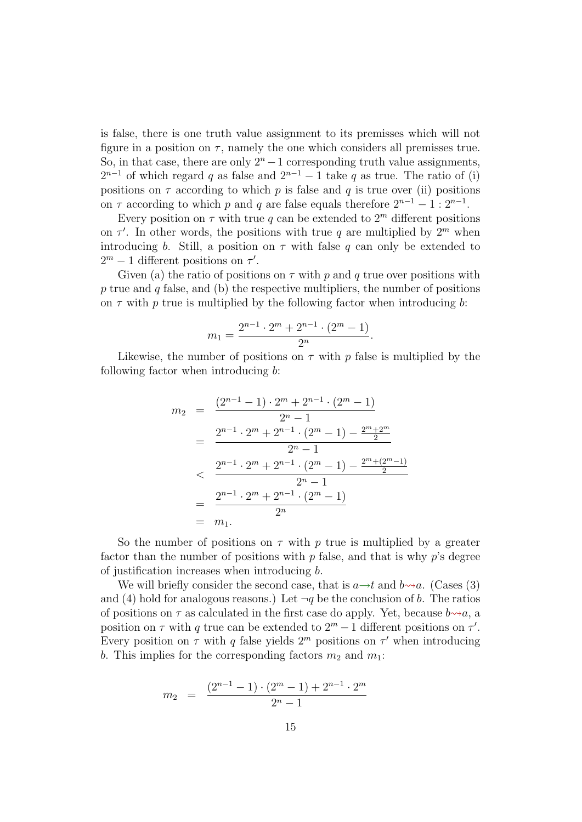is false, there is one truth value assignment to its premisses which will not figure in a position on  $\tau$ , namely the one which considers all premisses true. So, in that case, there are only  $2<sup>n</sup> - 1$  corresponding truth value assignments,  $2^{n-1}$  of which regard q as false and  $2^{n-1} - 1$  take q as true. The ratio of (i) positions on  $\tau$  according to which p is false and q is true over (ii) positions on  $\tau$  according to which p and q are false equals therefore  $2^{n-1} - 1 : 2^{n-1}$ .

Every position on  $\tau$  with true q can be extended to  $2^m$  different positions on  $\tau'$ . In other words, the positions with true q are multiplied by  $2^m$  when introducing b. Still, a position on  $\tau$  with false q can only be extended to  $2^m - 1$  different positions on  $\tau'$ .

Given (a) the ratio of positions on  $\tau$  with p and q true over positions with  $p$  true and  $q$  false, and (b) the respective multipliers, the number of positions on  $\tau$  with p true is multiplied by the following factor when introducing b:

$$
m_1 = \frac{2^{n-1} \cdot 2^m + 2^{n-1} \cdot (2^m - 1)}{2^n}.
$$

Likewise, the number of positions on  $\tau$  with p false is multiplied by the following factor when introducing b:

$$
m_2 = \frac{(2^{n-1}-1) \cdot 2^m + 2^{n-1} \cdot (2^m - 1)}{2^n - 1}
$$
  
= 
$$
\frac{2^{n-1} \cdot 2^m + 2^{n-1} \cdot (2^m - 1) - \frac{2^m + 2^m}{2}}{2^n - 1}
$$
  
< 
$$
< \frac{2^{n-1} \cdot 2^m + 2^{n-1} \cdot (2^m - 1) - \frac{2^m + (2^m - 1)}{2}}{2^n - 1}
$$
  
= 
$$
\frac{2^{n-1} \cdot 2^m + 2^{n-1} \cdot (2^m - 1)}{2^n}
$$
  
= 
$$
m_1.
$$

So the number of positions on  $\tau$  with p true is multiplied by a greater factor than the number of positions with  $p$  false, and that is why  $p$ 's degree of justification increases when introducing b.

We will briefly consider the second case, that is  $a \rightarrow t$  and  $b \rightarrow a$ . (Cases (3) and (4) hold for analogous reasons.) Let  $\neg q$  be the conclusion of b. The ratios of positions on  $\tau$  as calculated in the first case do apply. Yet, because  $b \rightarrow a$ , a position on  $\tau$  with q true can be extended to  $2^m - 1$  different positions on  $\tau'$ . Every position on  $\tau$  with q false yields  $2^m$  positions on  $\tau'$  when introducing b. This implies for the corresponding factors  $m_2$  and  $m_1$ :

$$
m_2 = \frac{(2^{n-1}-1)\cdot(2^m-1)+2^{n-1}\cdot2^m}{2^n-1}
$$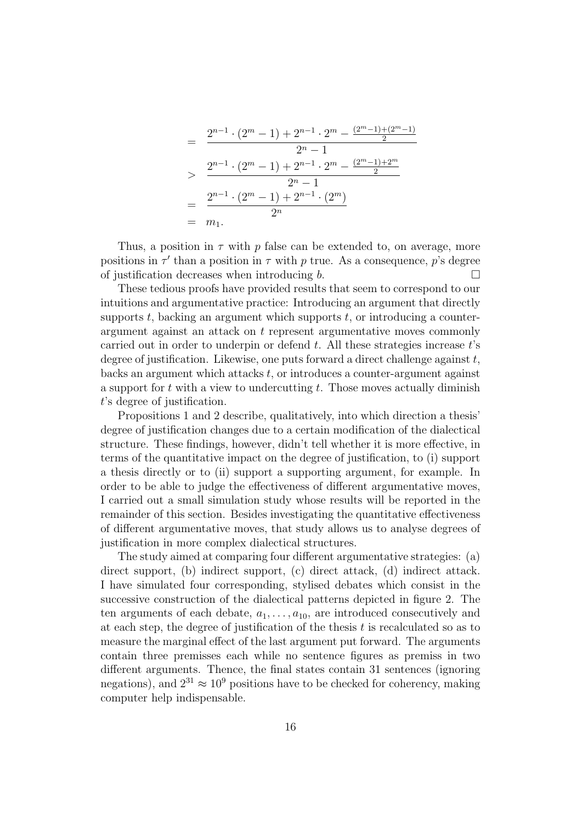$$
= \frac{2^{n-1} \cdot (2^m - 1) + 2^{n-1} \cdot 2^m - \frac{(2^m - 1) + (2^m - 1)}{2}}{2^n - 1}
$$
  
> 
$$
\frac{2^{n-1} \cdot (2^m - 1) + 2^{n-1} \cdot 2^m - \frac{(2^m - 1) + 2^m}{2}}{2^n - 1}
$$
  
= 
$$
\frac{2^{n-1} \cdot (2^m - 1) + 2^{n-1} \cdot (2^m)}{2^n}
$$
  
= 
$$
m_1.
$$

Thus, a position in  $\tau$  with  $p$  false can be extended to, on average, more positions in  $\tau'$  than a position in  $\tau$  with p true. As a consequence, p's degree of justification decreases when introducing  $b$ .

These tedious proofs have provided results that seem to correspond to our intuitions and argumentative practice: Introducing an argument that directly supports  $t$ , backing an argument which supports  $t$ , or introducing a counterargument against an attack on t represent argumentative moves commonly carried out in order to underpin or defend  $t$ . All these strategies increase  $t$ 's degree of justification. Likewise, one puts forward a direct challenge against  $t$ , backs an argument which attacks  $t$ , or introduces a counter-argument against a support for  $t$  with a view to undercutting  $t$ . Those moves actually diminish t's degree of justification.

Propositions 1 and 2 describe, qualitatively, into which direction a thesis' degree of justification changes due to a certain modification of the dialectical structure. These findings, however, didn't tell whether it is more effective, in terms of the quantitative impact on the degree of justification, to (i) support a thesis directly or to (ii) support a supporting argument, for example. In order to be able to judge the effectiveness of different argumentative moves, I carried out a small simulation study whose results will be reported in the remainder of this section. Besides investigating the quantitative effectiveness of different argumentative moves, that study allows us to analyse degrees of justification in more complex dialectical structures.

The study aimed at comparing four different argumentative strategies: (a) direct support, (b) indirect support, (c) direct attack, (d) indirect attack. I have simulated four corresponding, stylised debates which consist in the successive construction of the dialectical patterns depicted in figure 2. The ten arguments of each debate,  $a_1, \ldots, a_{10}$ , are introduced consecutively and at each step, the degree of justification of the thesis  $t$  is recalculated so as to measure the marginal effect of the last argument put forward. The arguments contain three premisses each while no sentence figures as premiss in two different arguments. Thence, the final states contain 31 sentences (ignoring negations), and  $2^{31} \approx 10^9$  positions have to be checked for coherency, making computer help indispensable.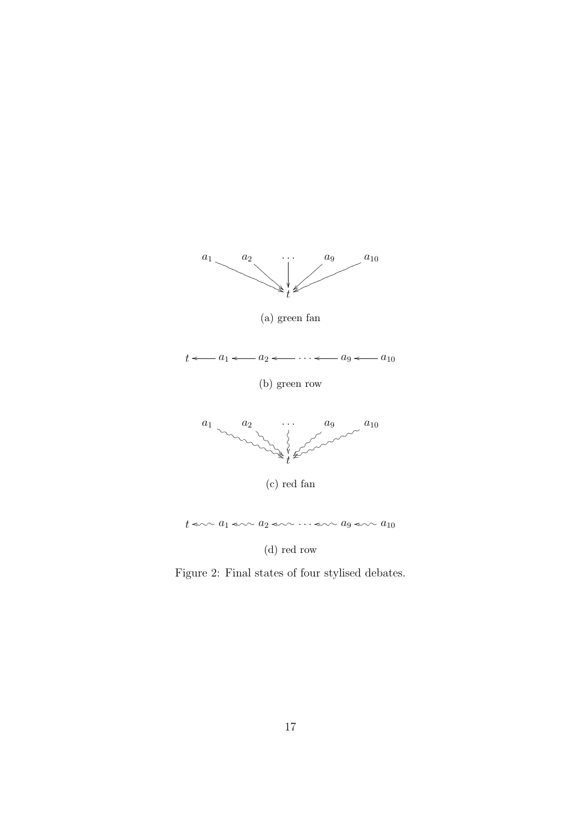

(d) red row

Figure 2: Final states of four stylised debates.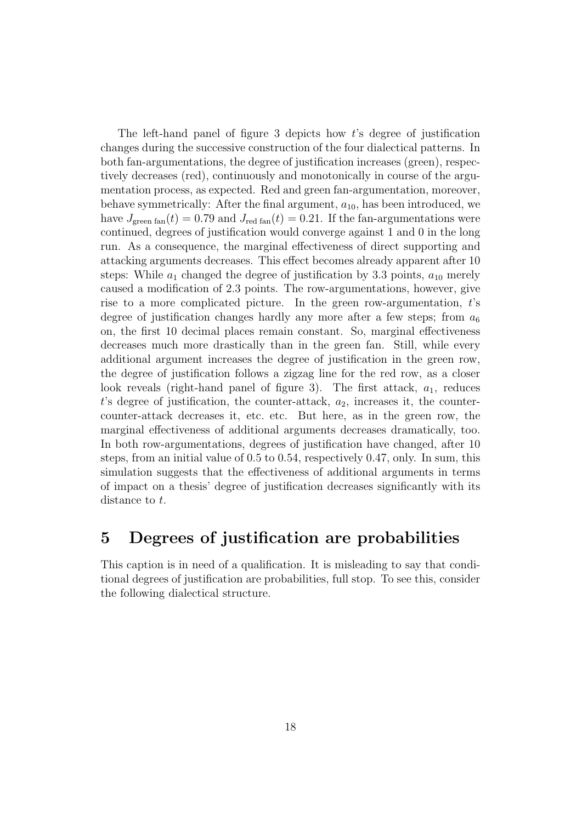The left-hand panel of figure 3 depicts how  $t$ 's degree of justification changes during the successive construction of the four dialectical patterns. In both fan-argumentations, the degree of justification increases (green), respectively decreases (red), continuously and monotonically in course of the argumentation process, as expected. Red and green fan-argumentation, moreover, behave symmetrically: After the final argument,  $a_{10}$ , has been introduced, we have  $J_{\text{green fan}}(t) = 0.79$  and  $J_{\text{red fan}}(t) = 0.21$ . If the fan-argumentations were continued, degrees of justification would converge against 1 and 0 in the long run. As a consequence, the marginal effectiveness of direct supporting and attacking arguments decreases. This effect becomes already apparent after 10 steps: While  $a_1$  changed the degree of justification by 3.3 points,  $a_{10}$  merely caused a modification of 2.3 points. The row-argumentations, however, give rise to a more complicated picture. In the green row-argumentation, t's degree of justification changes hardly any more after a few steps; from  $a_6$ on, the first 10 decimal places remain constant. So, marginal effectiveness decreases much more drastically than in the green fan. Still, while every additional argument increases the degree of justification in the green row, the degree of justification follows a zigzag line for the red row, as a closer look reveals (right-hand panel of figure 3). The first attack,  $a_1$ , reduces  $t$ 's degree of justification, the counter-attack,  $a_2$ , increases it, the countercounter-attack decreases it, etc. etc. But here, as in the green row, the marginal effectiveness of additional arguments decreases dramatically, too. In both row-argumentations, degrees of justification have changed, after 10 steps, from an initial value of 0.5 to 0.54, respectively 0.47, only. In sum, this simulation suggests that the effectiveness of additional arguments in terms of impact on a thesis' degree of justification decreases significantly with its distance to t.

### 5 Degrees of justification are probabilities

This caption is in need of a qualification. It is misleading to say that conditional degrees of justification are probabilities, full stop. To see this, consider the following dialectical structure.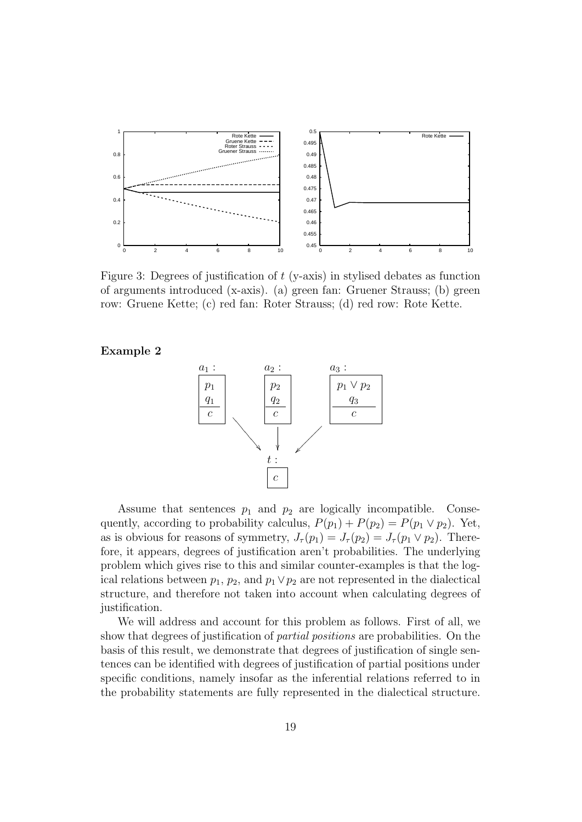

Figure 3: Degrees of justification of  $t$  (y-axis) in stylised debates as function of arguments introduced (x-axis). (a) green fan: Gruener Strauss; (b) green row: Gruene Kette; (c) red fan: Roter Strauss; (d) red row: Rote Kette.

#### Example 2



Assume that sentences  $p_1$  and  $p_2$  are logically incompatible. Consequently, according to probability calculus,  $P(p_1) + P(p_2) = P(p_1 \vee p_2)$ . Yet, as is obvious for reasons of symmetry,  $J_{\tau}(p_1) = J_{\tau}(p_2) = J_{\tau}(p_1 \vee p_2)$ . Therefore, it appears, degrees of justification aren't probabilities. The underlying problem which gives rise to this and similar counter-examples is that the logical relations between  $p_1$ ,  $p_2$ , and  $p_1 \vee p_2$  are not represented in the dialectical structure, and therefore not taken into account when calculating degrees of justification.

We will address and account for this problem as follows. First of all, we show that degrees of justification of partial positions are probabilities. On the basis of this result, we demonstrate that degrees of justification of single sentences can be identified with degrees of justification of partial positions under specific conditions, namely insofar as the inferential relations referred to in the probability statements are fully represented in the dialectical structure.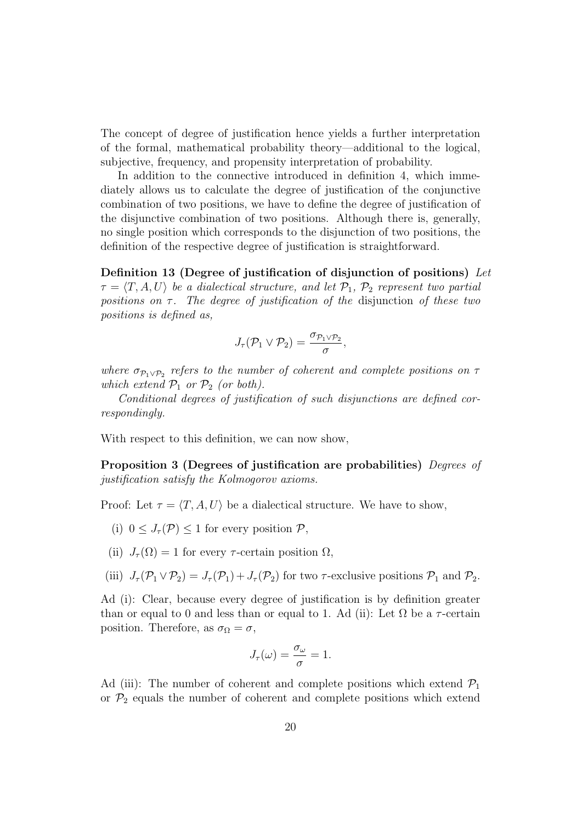The concept of degree of justification hence yields a further interpretation of the formal, mathematical probability theory—additional to the logical, subjective, frequency, and propensity interpretation of probability.

In addition to the connective introduced in definition 4, which immediately allows us to calculate the degree of justification of the conjunctive combination of two positions, we have to define the degree of justification of the disjunctive combination of two positions. Although there is, generally, no single position which corresponds to the disjunction of two positions, the definition of the respective degree of justification is straightforward.

Definition 13 (Degree of justification of disjunction of positions) Let  $\tau = \langle T, A, U \rangle$  be a dialectical structure, and let  $\mathcal{P}_1$ ,  $\mathcal{P}_2$  represent two partial positions on  $\tau$ . The degree of justification of the disjunction of these two positions is defined as,

$$
J_{\tau}(\mathcal{P}_1 \vee \mathcal{P}_2) = \frac{\sigma_{\mathcal{P}_1 \vee \mathcal{P}_2}}{\sigma},
$$

where  $\sigma_{\mathcal{P}_1 \vee \mathcal{P}_2}$  refers to the number of coherent and complete positions on  $\tau$ which extend  $P_1$  or  $P_2$  (or both).

Conditional degrees of justification of such disjunctions are defined correspondingly.

With respect to this definition, we can now show,

Proposition 3 (Degrees of justification are probabilities) Degrees of justification satisfy the Kolmogorov axioms.

Proof: Let  $\tau = \langle T, A, U \rangle$  be a dialectical structure. We have to show,

- (i)  $0 \leq J_\tau(\mathcal{P}) \leq 1$  for every position  $\mathcal{P}$ ,
- (ii)  $J_{\tau}(\Omega) = 1$  for every  $\tau$ -certain position  $\Omega$ ,
- (iii)  $J_{\tau}(\mathcal{P}_1 \vee \mathcal{P}_2) = J_{\tau}(\mathcal{P}_1) + J_{\tau}(\mathcal{P}_2)$  for two  $\tau$ -exclusive positions  $\mathcal{P}_1$  and  $\mathcal{P}_2$ .

Ad (i): Clear, because every degree of justification is by definition greater than or equal to 0 and less than or equal to 1. Ad (ii): Let  $\Omega$  be a  $\tau$ -certain position. Therefore, as  $\sigma_{\Omega} = \sigma$ ,

$$
J_{\tau}(\omega) = \frac{\sigma_{\omega}}{\sigma} = 1.
$$

Ad (iii): The number of coherent and complete positions which extend  $\mathcal{P}_1$ or  $\mathcal{P}_2$  equals the number of coherent and complete positions which extend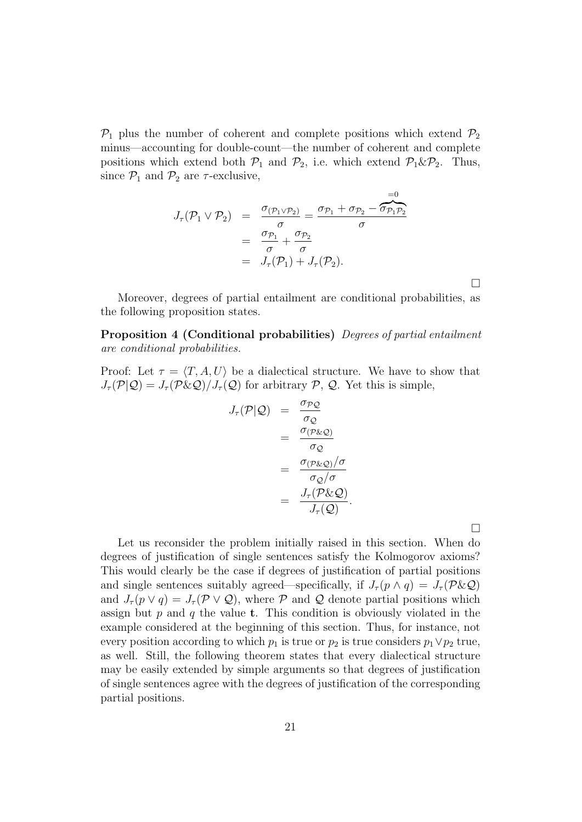$P_1$  plus the number of coherent and complete positions which extend  $P_2$ minus—accounting for double-count—the number of coherent and complete positions which extend both  $\mathcal{P}_1$  and  $\mathcal{P}_2$ , i.e. which extend  $\mathcal{P}_1 \& \mathcal{P}_2$ . Thus, since  $\mathcal{P}_1$  and  $\mathcal{P}_2$  are  $\tau$ -exclusive,

$$
J_{\tau}(\mathcal{P}_1 \vee \mathcal{P}_2) = \frac{\sigma_{(\mathcal{P}_1 \vee \mathcal{P}_2)}}{\sigma} = \frac{\sigma_{\mathcal{P}_1} + \sigma_{\mathcal{P}_2} - \sigma_{\mathcal{P}_1 \mathcal{P}_2}}{\sigma} = \frac{\sigma_{\mathcal{P}_1}}{\sigma} + \frac{\sigma_{\mathcal{P}_2}}{\sigma} = J_{\tau}(\mathcal{P}_1) + J_{\tau}(\mathcal{P}_2).
$$

Moreover, degrees of partial entailment are conditional probabilities, as the following proposition states.

Proposition 4 (Conditional probabilities) Degrees of partial entailment are conditional probabilities.

Proof: Let  $\tau = \langle T, A, U \rangle$  be a dialectical structure. We have to show that  $J_{\tau}(\mathcal{P}|\mathcal{Q}) = J_{\tau}(\mathcal{P}\&\mathcal{Q})/J_{\tau}(\mathcal{Q})$  for arbitrary  $\mathcal{P}, \mathcal{Q}$ . Yet this is simple,

$$
J_{\tau}(\mathcal{P}|\mathcal{Q}) = \frac{\sigma_{\mathcal{P}\mathcal{Q}}}{\sigma_{\mathcal{Q}}}
$$
  
= 
$$
\frac{\sigma_{(\mathcal{P}\&\mathcal{Q})}}{\sigma_{\mathcal{Q}}}
$$
  
= 
$$
\frac{\sigma_{(\mathcal{P}\&\mathcal{Q})}/\sigma}{\sigma_{\mathcal{Q}}/\sigma}
$$
  
= 
$$
\frac{J_{\tau}(\mathcal{P}\&\mathcal{Q})}{J_{\tau}(\mathcal{Q})}.
$$

 $\Box$ 

 $\Box$ 

Let us reconsider the problem initially raised in this section. When do degrees of justification of single sentences satisfy the Kolmogorov axioms? This would clearly be the case if degrees of justification of partial positions and single sentences suitably agreed—specifically, if  $J_{\tau}(p \wedge q) = J_{\tau}(P \& Q)$ and  $J_{\tau}(p \vee q) = J_{\tau}(p \vee Q)$ , where P and Q denote partial positions which assign but  $p$  and  $q$  the value **t**. This condition is obviously violated in the example considered at the beginning of this section. Thus, for instance, not every position according to which  $p_1$  is true or  $p_2$  is true considers  $p_1 \vee p_2$  true, as well. Still, the following theorem states that every dialectical structure may be easily extended by simple arguments so that degrees of justification of single sentences agree with the degrees of justification of the corresponding partial positions.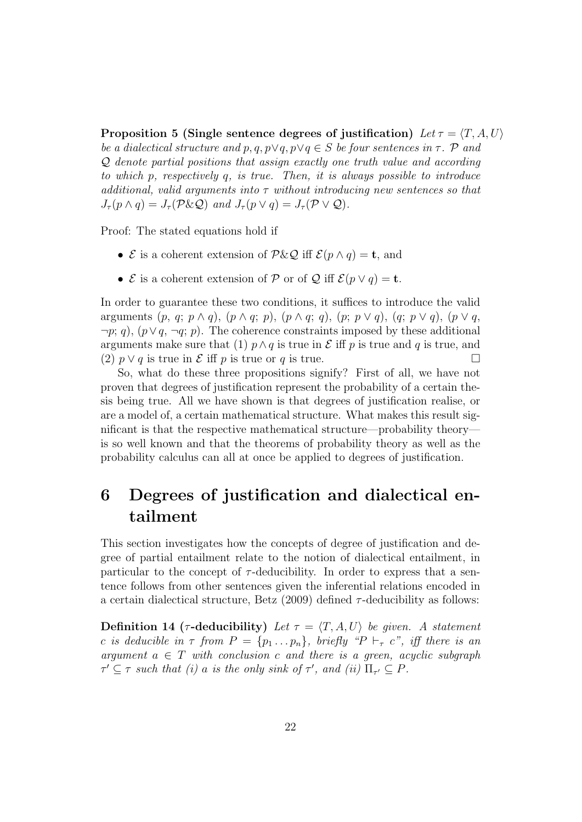Proposition 5 (Single sentence degrees of justification)  $Let \tau = \langle T, A, U \rangle$ be a dialectical structure and  $p, q, p \lor q, p \lor q \in S$  be four sentences in  $\tau$ .  $\mathcal{P}$  and Q denote partial positions that assign exactly one truth value and according to which p, respectively q, is true. Then, it is always possible to introduce additional, valid arguments into  $\tau$  without introducing new sentences so that  $J_{\tau}(p \wedge q) = J_{\tau}(\mathcal{P}\&\mathcal{Q})$  and  $J_{\tau}(p \vee q) = J_{\tau}(\mathcal{P} \vee \mathcal{Q}).$ 

Proof: The stated equations hold if

- $\mathcal E$  is a coherent extension of  $\mathcal P \& \mathcal Q$  iff  $\mathcal E(p \wedge q) = \mathbf t$ , and
- $\mathcal E$  is a coherent extension of  $\mathcal P$  or of  $\mathcal Q$  iff  $\mathcal E(p\vee q) = \mathbf t$ .

In order to guarantee these two conditions, it suffices to introduce the valid arguments  $(p, q; p \wedge q)$ ,  $(p \wedge q; p)$ ,  $(p \wedge q; q)$ ,  $(p; p \vee q)$ ,  $(q; p \vee q)$ ,  $(p \vee q$ ,  $\neg p; q$ ,  $(p \lor q, \neg q; p)$ . The coherence constraints imposed by these additional arguments make sure that (1)  $p \wedge q$  is true in  $\mathcal E$  iff p is true and q is true, and (2)  $p \vee q$  is true in  $\mathcal E$  iff p is true or q is true.

So, what do these three propositions signify? First of all, we have not proven that degrees of justification represent the probability of a certain thesis being true. All we have shown is that degrees of justification realise, or are a model of, a certain mathematical structure. What makes this result significant is that the respective mathematical structure—probability theory is so well known and that the theorems of probability theory as well as the probability calculus can all at once be applied to degrees of justification.

## 6 Degrees of justification and dialectical entailment

This section investigates how the concepts of degree of justification and degree of partial entailment relate to the notion of dialectical entailment, in particular to the concept of  $\tau$ -deducibility. In order to express that a sentence follows from other sentences given the inferential relations encoded in a certain dialectical structure, Betz  $(2009)$  defined  $\tau$ -deducibility as follows:

Definition 14 ( $\tau$ -deducibility) Let  $\tau = \langle T, A, U \rangle$  be given. A statement c is deducible in  $\tau$  from  $P = \{p_1 \dots p_n\}$ , briefly " $P \vdash_{\tau} c$ ", iff there is an argument  $a \in T$  with conclusion c and there is a green, acyclic subgraph  $\tau' \subseteq \tau$  such that (i) a is the only sink of  $\tau'$ , and (ii)  $\Pi_{\tau'} \subseteq P$ .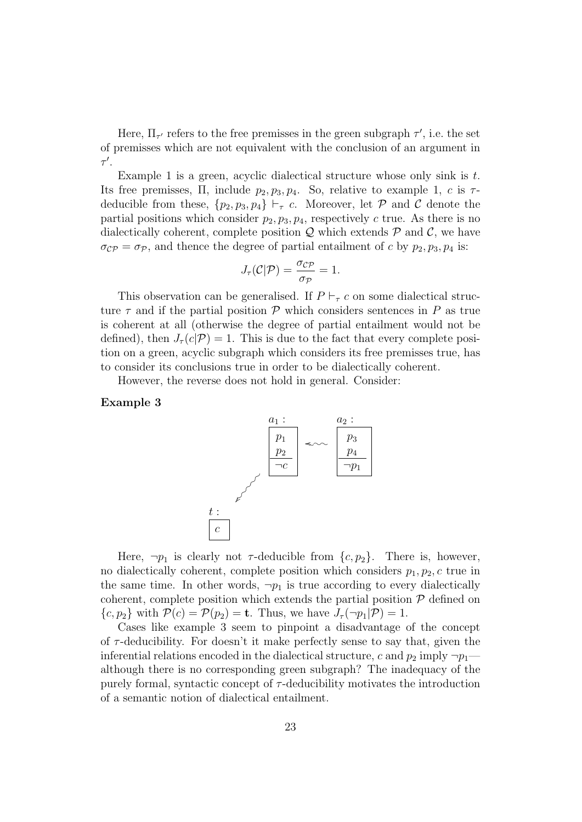Here,  $\Pi_{\tau'}$  refers to the free premisses in the green subgraph  $\tau'$ , i.e. the set of premisses which are not equivalent with the conclusion of an argument in  $\tau'.$ 

Example 1 is a green, acyclic dialectical structure whose only sink is t. Its free premisses,  $\Pi$ , include  $p_2, p_3, p_4$ . So, relative to example 1, c is  $\tau$ deducible from these,  $\{p_2, p_3, p_4\} \vdash_{\tau} c$ . Moreover, let P and C denote the partial positions which consider  $p_2, p_3, p_4$ , respectively c true. As there is no dialectically coherent, complete position  $Q$  which extends  $P$  and  $C$ , we have  $\sigma_{\mathcal{CP}} = \sigma_{\mathcal{P}}$ , and thence the degree of partial entailment of c by  $p_2, p_3, p_4$  is:

$$
J_{\tau}(\mathcal{C}|\mathcal{P}) = \frac{\sigma_{\mathcal{CP}}}{\sigma_{\mathcal{P}}} = 1.
$$

This observation can be generalised. If  $P \vdash_{\tau} c$  on some dialectical structure  $\tau$  and if the partial position  $\mathcal P$  which considers sentences in P as true is coherent at all (otherwise the degree of partial entailment would not be defined), then  $J_{\tau}(c|\mathcal{P}) = 1$ . This is due to the fact that every complete position on a green, acyclic subgraph which considers its free premisses true, has to consider its conclusions true in order to be dialectically coherent.

However, the reverse does not hold in general. Consider:

### Example 3



Here,  $\neg p_1$  is clearly not  $\tau$ -deducible from  $\{c, p_2\}$ . There is, however, no dialectically coherent, complete position which considers  $p_1, p_2, c$  true in the same time. In other words,  $\neg p_1$  is true according to every dialectically coherent, complete position which extends the partial position  $P$  defined on  ${c, p_2}$  with  $\mathcal{P}(c) = \mathcal{P}(p_2) = \mathbf{t}$ . Thus, we have  $J_{\tau}(\neg p_1 | \mathcal{P}) = 1$ .

Cases like example 3 seem to pinpoint a disadvantage of the concept of  $\tau$ -deducibility. For doesn't it make perfectly sense to say that, given the inferential relations encoded in the dialectical structure, c and  $p_2$  imply  $\neg p_1$ although there is no corresponding green subgraph? The inadequacy of the purely formal, syntactic concept of  $\tau$ -deducibility motivates the introduction of a semantic notion of dialectical entailment.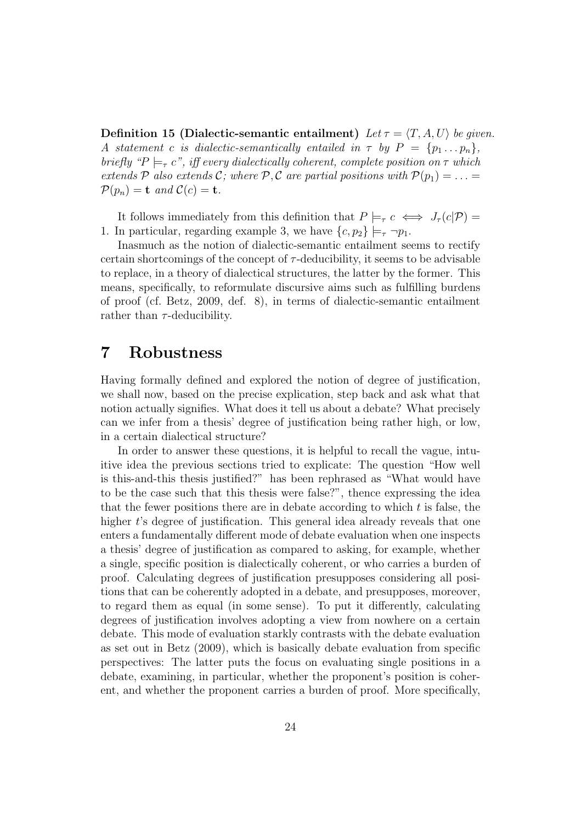Definition 15 (Dialectic-semantic entailment) Let  $\tau = \langle T, A, U \rangle$  be given. A statement c is dialectic-semantically entailed in  $\tau$  by  $P = \{p_1 \dots p_n\},\$ briefly " $P \models_{\tau} c$ ", iff every dialectically coherent, complete position on  $\tau$  which extends P also extends C; where P, C are partial positions with  $P(p_1) = ... =$  $\mathcal{P}(p_n) = \mathbf{t}$  and  $\mathcal{C}(c) = \mathbf{t}$ .

It follows immediately from this definition that  $P \models_\tau c \iff J_\tau(c|\mathcal{P}) =$ 1. In particular, regarding example 3, we have  $\{c, p_2\} \models_{\tau} \neg p_1$ .

Inasmuch as the notion of dialectic-semantic entailment seems to rectify certain shortcomings of the concept of  $\tau$ -deducibility, it seems to be advisable to replace, in a theory of dialectical structures, the latter by the former. This means, specifically, to reformulate discursive aims such as fulfilling burdens of proof (cf. Betz, 2009, def. 8), in terms of dialectic-semantic entailment rather than  $\tau$ -deducibility.

### 7 Robustness

Having formally defined and explored the notion of degree of justification, we shall now, based on the precise explication, step back and ask what that notion actually signifies. What does it tell us about a debate? What precisely can we infer from a thesis' degree of justification being rather high, or low, in a certain dialectical structure?

In order to answer these questions, it is helpful to recall the vague, intuitive idea the previous sections tried to explicate: The question "How well is this-and-this thesis justified?" has been rephrased as "What would have to be the case such that this thesis were false?", thence expressing the idea that the fewer positions there are in debate according to which  $t$  is false, the higher t's degree of justification. This general idea already reveals that one enters a fundamentally different mode of debate evaluation when one inspects a thesis' degree of justification as compared to asking, for example, whether a single, specific position is dialectically coherent, or who carries a burden of proof. Calculating degrees of justification presupposes considering all positions that can be coherently adopted in a debate, and presupposes, moreover, to regard them as equal (in some sense). To put it differently, calculating degrees of justification involves adopting a view from nowhere on a certain debate. This mode of evaluation starkly contrasts with the debate evaluation as set out in Betz (2009), which is basically debate evaluation from specific perspectives: The latter puts the focus on evaluating single positions in a debate, examining, in particular, whether the proponent's position is coherent, and whether the proponent carries a burden of proof. More specifically,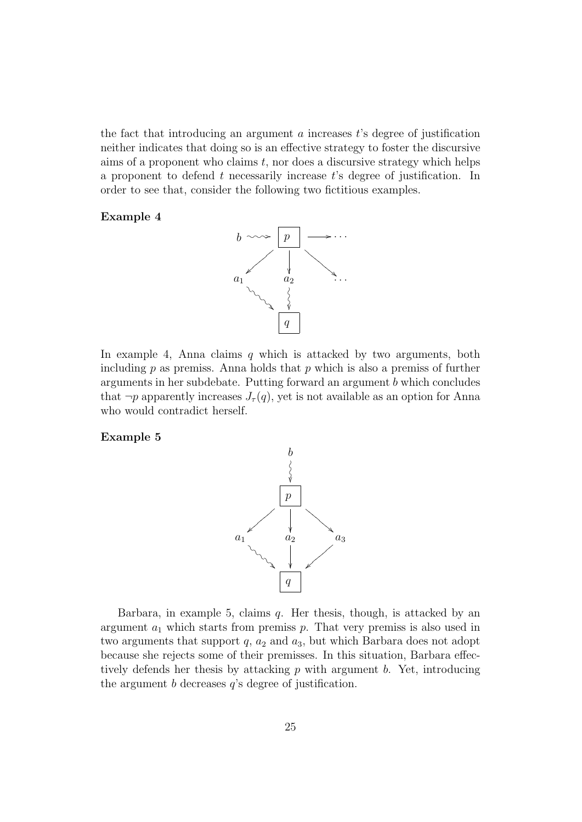the fact that introducing an argument  $\alpha$  increases  $t$ 's degree of justification neither indicates that doing so is an effective strategy to foster the discursive aims of a proponent who claims  $t$ , nor does a discursive strategy which helps a proponent to defend  $t$  necessarily increase  $t$ 's degree of justification. In order to see that, consider the following two fictitious examples.

### Example 4



In example 4, Anna claims  $q$  which is attacked by two arguments, both including  $p$  as premiss. Anna holds that  $p$  which is also a premiss of further arguments in her subdebate. Putting forward an argument b which concludes that  $\neg p$  apparently increases  $J_{\tau}(q)$ , yet is not available as an option for Anna who would contradict herself.

#### Example 5



Barbara, in example 5, claims  $q$ . Her thesis, though, is attacked by an argument  $a_1$  which starts from premiss p. That very premiss is also used in two arguments that support  $q$ ,  $a_2$  and  $a_3$ , but which Barbara does not adopt because she rejects some of their premisses. In this situation, Barbara effectively defends her thesis by attacking p with argument b. Yet, introducing the argument  $b$  decreases  $q$ 's degree of justification.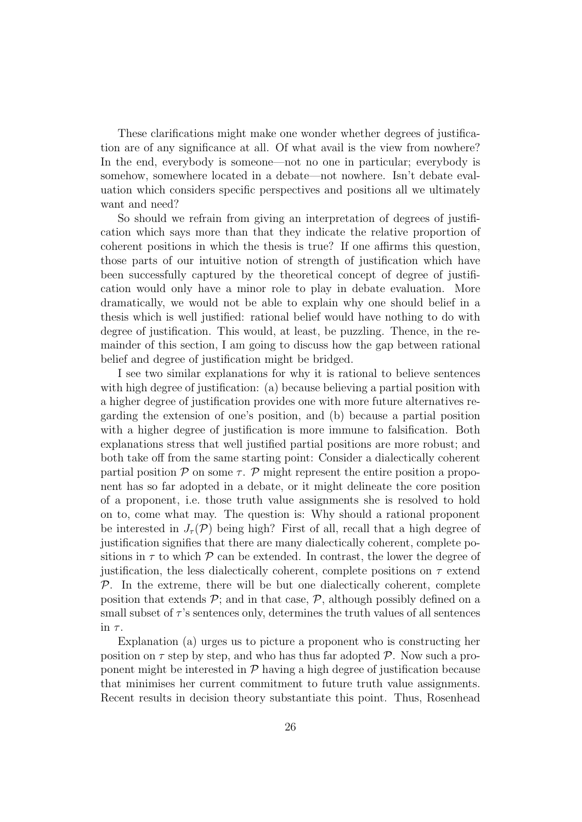These clarifications might make one wonder whether degrees of justification are of any significance at all. Of what avail is the view from nowhere? In the end, everybody is someone—not no one in particular; everybody is somehow, somewhere located in a debate—not nowhere. Isn't debate evaluation which considers specific perspectives and positions all we ultimately want and need?

So should we refrain from giving an interpretation of degrees of justification which says more than that they indicate the relative proportion of coherent positions in which the thesis is true? If one affirms this question, those parts of our intuitive notion of strength of justification which have been successfully captured by the theoretical concept of degree of justification would only have a minor role to play in debate evaluation. More dramatically, we would not be able to explain why one should belief in a thesis which is well justified: rational belief would have nothing to do with degree of justification. This would, at least, be puzzling. Thence, in the remainder of this section, I am going to discuss how the gap between rational belief and degree of justification might be bridged.

I see two similar explanations for why it is rational to believe sentences with high degree of justification: (a) because believing a partial position with a higher degree of justification provides one with more future alternatives regarding the extension of one's position, and (b) because a partial position with a higher degree of justification is more immune to falsification. Both explanations stress that well justified partial positions are more robust; and both take off from the same starting point: Consider a dialectically coherent partial position  $P$  on some  $\tau$ .  $P$  might represent the entire position a proponent has so far adopted in a debate, or it might delineate the core position of a proponent, i.e. those truth value assignments she is resolved to hold on to, come what may. The question is: Why should a rational proponent be interested in  $J_{\tau}(\mathcal{P})$  being high? First of all, recall that a high degree of justification signifies that there are many dialectically coherent, complete positions in  $\tau$  to which  $\mathcal P$  can be extended. In contrast, the lower the degree of justification, the less dialectically coherent, complete positions on  $\tau$  extend  $P$ . In the extreme, there will be but one dialectically coherent, complete position that extends  $P$ ; and in that case,  $P$ , although possibly defined on a small subset of  $\tau$ 's sentences only, determines the truth values of all sentences in  $\tau$ .

Explanation (a) urges us to picture a proponent who is constructing her position on  $\tau$  step by step, and who has thus far adopted  $\mathcal{P}$ . Now such a proponent might be interested in  $P$  having a high degree of justification because that minimises her current commitment to future truth value assignments. Recent results in decision theory substantiate this point. Thus, Rosenhead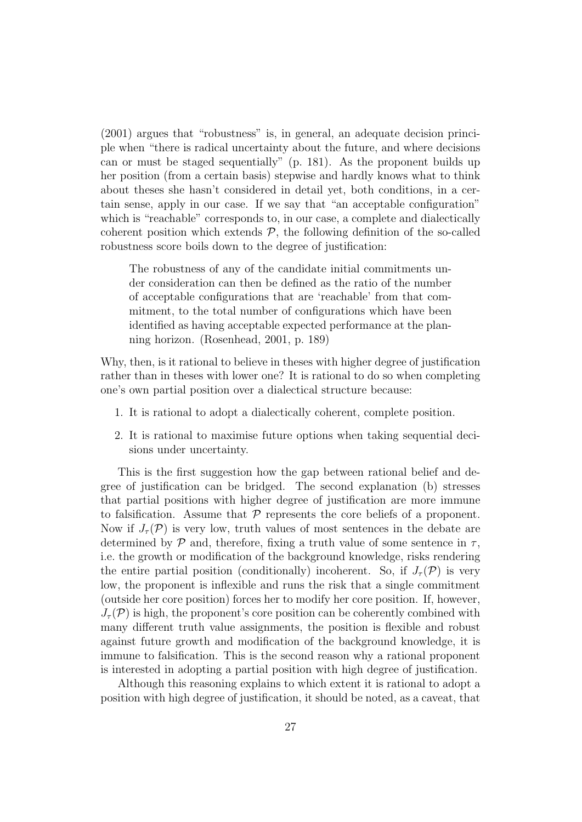(2001) argues that "robustness" is, in general, an adequate decision principle when "there is radical uncertainty about the future, and where decisions can or must be staged sequentially" (p. 181). As the proponent builds up her position (from a certain basis) stepwise and hardly knows what to think about theses she hasn't considered in detail yet, both conditions, in a certain sense, apply in our case. If we say that "an acceptable configuration" which is "reachable" corresponds to, in our case, a complete and dialectically coherent position which extends  $P$ , the following definition of the so-called robustness score boils down to the degree of justification:

The robustness of any of the candidate initial commitments under consideration can then be defined as the ratio of the number of acceptable configurations that are 'reachable' from that commitment, to the total number of configurations which have been identified as having acceptable expected performance at the planning horizon. (Rosenhead, 2001, p. 189)

Why, then, is it rational to believe in theses with higher degree of justification rather than in theses with lower one? It is rational to do so when completing one's own partial position over a dialectical structure because:

- 1. It is rational to adopt a dialectically coherent, complete position.
- 2. It is rational to maximise future options when taking sequential decisions under uncertainty.

This is the first suggestion how the gap between rational belief and degree of justification can be bridged. The second explanation (b) stresses that partial positions with higher degree of justification are more immune to falsification. Assume that  $P$  represents the core beliefs of a proponent. Now if  $J_{\tau}(\mathcal{P})$  is very low, truth values of most sentences in the debate are determined by  $\mathcal P$  and, therefore, fixing a truth value of some sentence in  $\tau$ , i.e. the growth or modification of the background knowledge, risks rendering the entire partial position (conditionally) incoherent. So, if  $J_{\tau}(\mathcal{P})$  is very low, the proponent is inflexible and runs the risk that a single commitment (outside her core position) forces her to modify her core position. If, however,  $J_{\tau}(\mathcal{P})$  is high, the proponent's core position can be coherently combined with many different truth value assignments, the position is flexible and robust against future growth and modification of the background knowledge, it is immune to falsification. This is the second reason why a rational proponent is interested in adopting a partial position with high degree of justification.

Although this reasoning explains to which extent it is rational to adopt a position with high degree of justification, it should be noted, as a caveat, that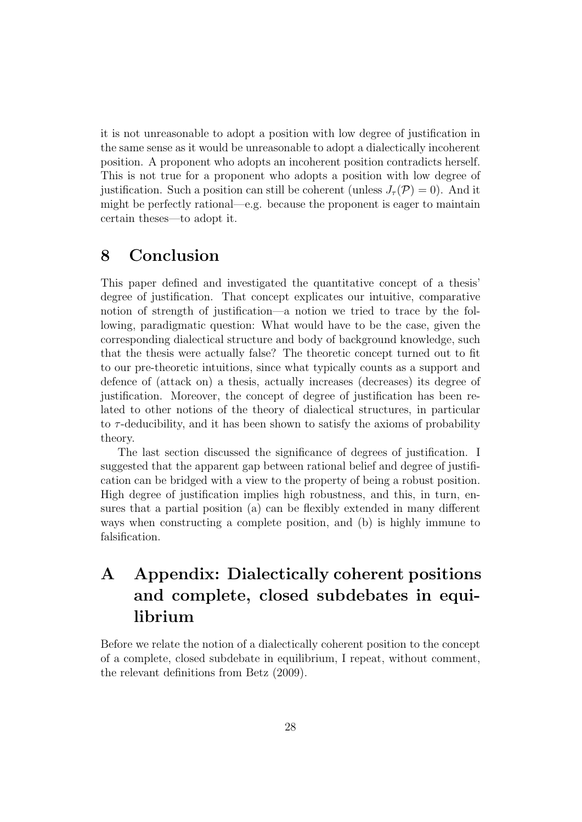it is not unreasonable to adopt a position with low degree of justification in the same sense as it would be unreasonable to adopt a dialectically incoherent position. A proponent who adopts an incoherent position contradicts herself. This is not true for a proponent who adopts a position with low degree of justification. Such a position can still be coherent (unless  $J_{\tau}(\mathcal{P}) = 0$ ). And it might be perfectly rational—e.g. because the proponent is eager to maintain certain theses—to adopt it.

## 8 Conclusion

This paper defined and investigated the quantitative concept of a thesis' degree of justification. That concept explicates our intuitive, comparative notion of strength of justification—a notion we tried to trace by the following, paradigmatic question: What would have to be the case, given the corresponding dialectical structure and body of background knowledge, such that the thesis were actually false? The theoretic concept turned out to fit to our pre-theoretic intuitions, since what typically counts as a support and defence of (attack on) a thesis, actually increases (decreases) its degree of justification. Moreover, the concept of degree of justification has been related to other notions of the theory of dialectical structures, in particular to  $\tau$ -deducibility, and it has been shown to satisfy the axioms of probability theory.

The last section discussed the significance of degrees of justification. I suggested that the apparent gap between rational belief and degree of justification can be bridged with a view to the property of being a robust position. High degree of justification implies high robustness, and this, in turn, ensures that a partial position (a) can be flexibly extended in many different ways when constructing a complete position, and (b) is highly immune to falsification.

# A Appendix: Dialectically coherent positions and complete, closed subdebates in equilibrium

Before we relate the notion of a dialectically coherent position to the concept of a complete, closed subdebate in equilibrium, I repeat, without comment, the relevant definitions from Betz (2009).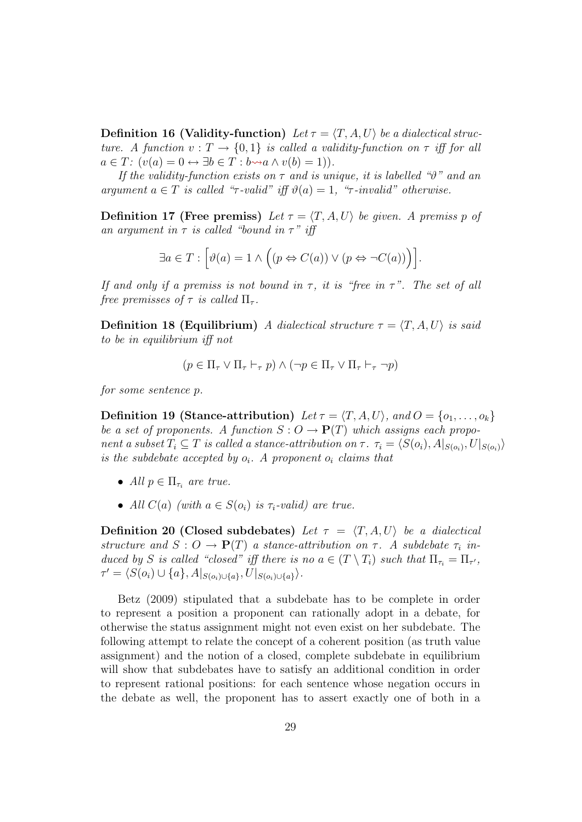**Definition 16 (Validity-function)** Let  $\tau = \langle T, A, U \rangle$  be a dialectical structure. A function  $v: T \to \{0,1\}$  is called a validity-function on  $\tau$  iff for all  $a \in T$ :  $(v(a) = 0 \leftrightarrow \exists b \in T : b \leadsto a \land v(b) = 1)$ .

If the validity-function exists on  $\tau$  and is unique, it is labelled " $\vartheta$ " and an argument  $a \in T$  is called " $\tau$ -valid" iff  $\vartheta(a) = 1$ , " $\tau$ -invalid" otherwise.

**Definition 17 (Free premiss)** Let  $\tau = \langle T, A, U \rangle$  be given. A premiss p of an argument in  $\tau$  is called "bound in  $\tau$ " iff

$$
\exists a \in T : \left[ \vartheta(a) = 1 \land \left( (p \Leftrightarrow C(a)) \lor (p \Leftrightarrow \neg C(a)) \right) \right].
$$

If and only if a premiss is not bound in  $\tau$ , it is "free in  $\tau$ ". The set of all free premisses of  $\tau$  is called  $\Pi_{\tau}$ .

Definition 18 (Equilibrium) A dialectical structure  $\tau = \langle T, A, U \rangle$  is said to be in equilibrium iff not

$$
(p \in \Pi_{\tau} \lor \Pi_{\tau} \vdash_{\tau} p) \land (\neg p \in \Pi_{\tau} \lor \Pi_{\tau} \vdash_{\tau} \neg p)
$$

for some sentence p.

**Definition 19 (Stance-attribution)** Let  $\tau = \langle T, A, U \rangle$ , and  $O = \{o_1, \ldots, o_k\}$ be a set of proponents. A function  $S: O \to \mathbf{P}(T)$  which assigns each proponent a subset  $T_i \subseteq T$  is called a stance-attribution on  $\tau$ .  $\tau_i = \langle S(o_i), A|_{S(o_i)}, U|_{S(o_i)} \rangle$ is the subdebate accepted by  $o_i$ . A proponent  $o_i$  claims that

- All  $p \in \Pi_{\tau_i}$  are true.
- All  $C(a)$  (with  $a \in S(o_i)$  is  $\tau_i$ -valid) are true.

Definition 20 (Closed subdebates) Let  $\tau = \langle T, A, U \rangle$  be a dialectical structure and  $S: O \to \mathbf{P}(T)$  a stance-attribution on  $\tau$ . A subdebate  $\tau_i$  induced by S is called "closed" iff there is no  $a \in (T \setminus T_i)$  such that  $\Pi_{\tau_i} = \Pi_{\tau'}$ ,  $\tau' = \langle S(o_i) \cup \{a\}, A|_{S(o_i) \cup \{a\}}, U|_{S(o_i) \cup \{a\}}\rangle.$ 

Betz (2009) stipulated that a subdebate has to be complete in order to represent a position a proponent can rationally adopt in a debate, for otherwise the status assignment might not even exist on her subdebate. The following attempt to relate the concept of a coherent position (as truth value assignment) and the notion of a closed, complete subdebate in equilibrium will show that subdebates have to satisfy an additional condition in order to represent rational positions: for each sentence whose negation occurs in the debate as well, the proponent has to assert exactly one of both in a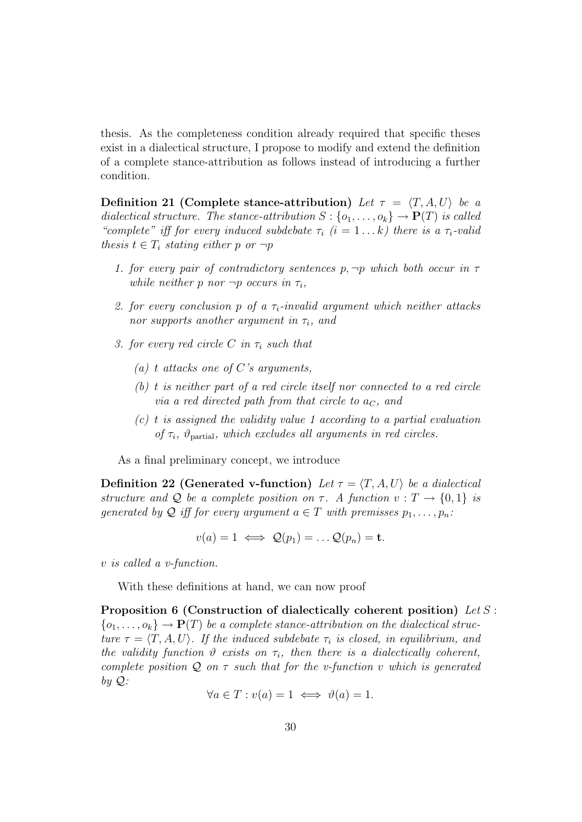thesis. As the completeness condition already required that specific theses exist in a dialectical structure, I propose to modify and extend the definition of a complete stance-attribution as follows instead of introducing a further condition.

Definition 21 (Complete stance-attribution) Let  $\tau = \langle T, A, U \rangle$  be a dialectical structure. The stance-attribution  $S: \{o_1, \ldots, o_k\} \to \mathbf{P}(T)$  is called "complete" iff for every induced subdebate  $\tau_i$  (i = 1...k) there is a  $\tau_i$ -valid thesis  $t \in T_i$  stating either p or  $\neg p$ 

- 1. for every pair of contradictory sentences  $p, \neg p$  which both occur in  $\tau$ while neither p nor  $\neg p$  occurs in  $\tau_i$ ,
- 2. for every conclusion p of a  $\tau_i$ -invalid argument which neither attacks nor supports another argument in  $\tau_i$ , and
- 3. for every red circle C in  $\tau_i$  such that
	- (a) t attacks one of C's arguments,
	- (b) t is neither part of a red circle itself nor connected to a red circle via a red directed path from that circle to  $a<sub>C</sub>$ , and
	- $(c)$  t is assigned the validity value 1 according to a partial evaluation of  $\tau_i$ ,  $\vartheta$ <sub>partial</sub>, which excludes all arguments in red circles.

As a final preliminary concept, we introduce

Definition 22 (Generated v-function) Let  $\tau = \langle T, A, U \rangle$  be a dialectical structure and Q be a complete position on  $\tau$ . A function  $v : T \to \{0, 1\}$  is generated by Q iff for every argument  $a \in T$  with premisses  $p_1, \ldots, p_n$ :

$$
v(a) = 1 \iff \mathcal{Q}(p_1) = \dots \mathcal{Q}(p_n) = \mathbf{t}.
$$

v is called a v-function.

With these definitions at hand, we can now proof

Proposition 6 (Construction of dialectically coherent position) Let  $S$ :  ${o_1, \ldots, o_k} \rightarrow P(T)$  be a complete stance-attribution on the dialectical structure  $\tau = \langle T, A, U \rangle$ . If the induced subdebate  $\tau_i$  is closed, in equilibrium, and the validity function  $\vartheta$  exists on  $\tau_i$ , then there is a dialectically coherent, complete position Q on  $\tau$  such that for the v-function v which is generated  $by$   $Q$ :

$$
\forall a \in T : v(a) = 1 \iff \vartheta(a) = 1.
$$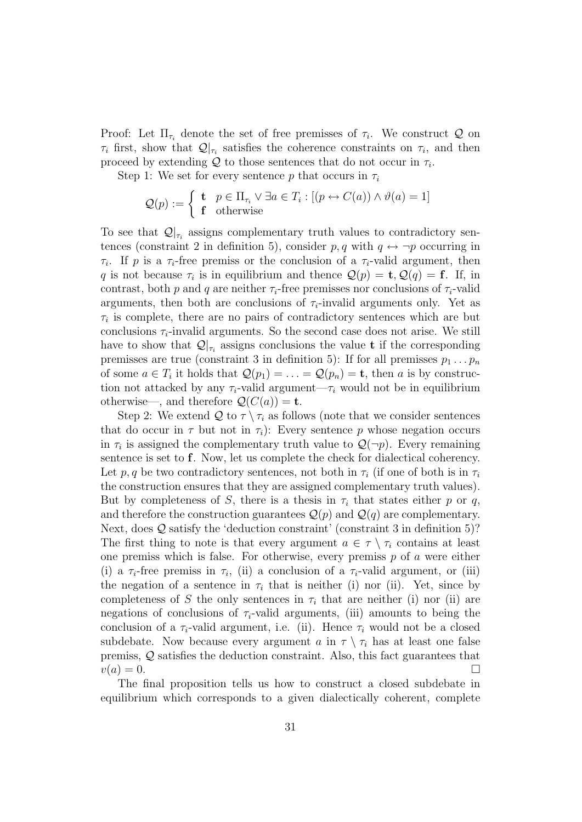Proof: Let  $\Pi_{\tau_i}$  denote the set of free premisses of  $\tau_i$ . We construct  $\mathcal Q$  on  $\tau_i$  first, show that  $\mathcal{Q}|_{\tau_i}$  satisfies the coherence constraints on  $\tau_i$ , and then proceed by extending  $\mathcal Q$  to those sentences that do not occur in  $\tau_i$ .

Step 1: We set for every sentence p that occurs in  $\tau_i$ 

$$
\mathcal{Q}(p) := \begin{cases} \mathbf{t} & p \in \Pi_{\tau_i} \vee \exists a \in T_i : [(p \leftrightarrow C(a)) \wedge \vartheta(a) = 1] \\ \mathbf{f} & \text{otherwise} \end{cases}
$$

To see that  $\mathcal{Q}|_{\tau_i}$  assigns complementary truth values to contradictory sentences (constraint 2 in definition 5), consider p, q with  $q \leftrightarrow \neg p$  occurring in  $\tau_i$ . If p is a  $\tau_i$ -free premiss or the conclusion of a  $\tau_i$ -valid argument, then q is not because  $\tau_i$  is in equilibrium and thence  $\mathcal{Q}(p) = \mathbf{t}, \mathcal{Q}(q) = \mathbf{f}$ . If, in contrast, both p and q are neither  $\tau_i$ -free premisses nor conclusions of  $\tau_i$ -valid arguments, then both are conclusions of  $\tau_i$ -invalid arguments only. Yet as  $\tau_i$  is complete, there are no pairs of contradictory sentences which are but conclusions  $\tau_i$ -invalid arguments. So the second case does not arise. We still have to show that  $\mathcal{Q}|_{\tau_i}$  assigns conclusions the value **t** if the corresponding premisses are true (constraint 3 in definition 5): If for all premisses  $p_1 \ldots p_n$ of some  $a \in T_i$  it holds that  $\mathcal{Q}(p_1) = \ldots = \mathcal{Q}(p_n) = \mathbf{t}$ , then a is by construction not attacked by any  $\tau_i$ -valid argument— $\tau_i$  would not be in equilibrium otherwise—, and therefore  $\mathcal{Q}(C(a)) = t$ .

Step 2: We extend Q to  $\tau \setminus \tau_i$  as follows (note that we consider sentences that do occur in  $\tau$  but not in  $\tau_i$ ): Every sentence p whose negation occurs in  $\tau_i$  is assigned the complementary truth value to  $\mathcal{Q}(\neg p)$ . Every remaining sentence is set to f. Now, let us complete the check for dialectical coherency. Let p, q be two contradictory sentences, not both in  $\tau_i$  (if one of both is in  $\tau_i$ ) the construction ensures that they are assigned complementary truth values). But by completeness of S, there is a thesis in  $\tau_i$  that states either p or q, and therefore the construction guarantees  $\mathcal{Q}(p)$  and  $\mathcal{Q}(q)$  are complementary. Next, does Q satisfy the 'deduction constraint' (constraint 3 in definition 5)? The first thing to note is that every argument  $a \in \tau \setminus \tau_i$  contains at least one premiss which is false. For otherwise, every premiss  $p$  of  $a$  were either (i) a  $\tau_i$ -free premiss in  $\tau_i$ , (ii) a conclusion of a  $\tau_i$ -valid argument, or (iii) the negation of a sentence in  $\tau_i$  that is neither (i) nor (ii). Yet, since by completeness of S the only sentences in  $\tau_i$  that are neither (i) nor (ii) are negations of conclusions of  $\tau_i$ -valid arguments, (iii) amounts to being the conclusion of a  $\tau_i$ -valid argument, i.e. (ii). Hence  $\tau_i$  would not be a closed subdebate. Now because every argument a in  $\tau \setminus \tau_i$  has at least one false premiss, Q satisfies the deduction constraint. Also, this fact guarantees that  $v(a) = 0.$ 

The final proposition tells us how to construct a closed subdebate in equilibrium which corresponds to a given dialectically coherent, complete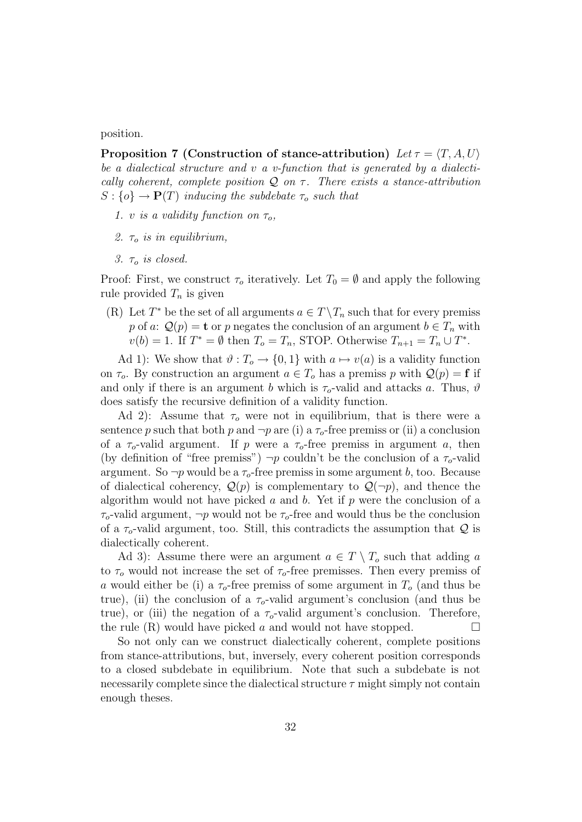position.

Proposition 7 (Construction of stance-attribution)  $Let \tau = \langle T, A, U \rangle$ be a dialectical structure and v a v-function that is generated by a dialectically coherent, complete position  $Q$  on  $\tau$ . There exists a stance-attribution  $S: \{o\} \to \mathbf{P}(T)$  inducing the subdebate  $\tau_o$  such that

- 1. v is a validity function on  $\tau_o$ ,
- 2.  $\tau_o$  is in equilibrium,
- 3.  $\tau_o$  is closed.

Proof: First, we construct  $\tau_o$  iteratively. Let  $T_0 = \emptyset$  and apply the following rule provided  $T_n$  is given

(R) Let  $T^*$  be the set of all arguments  $a \in T \backslash T_n$  such that for every premiss p of a:  $\mathcal{Q}(p) = \mathbf{t}$  or p negates the conclusion of an argument  $b \in T_n$  with  $v(b) = 1$ . If  $T^* = \emptyset$  then  $T_o = T_n$ , STOP. Otherwise  $T_{n+1} = T_n \cup T^*$ .

Ad 1): We show that  $\vartheta : T_o \to \{0, 1\}$  with  $a \mapsto v(a)$  is a validity function on  $\tau_o$ . By construction an argument  $a \in T_o$  has a premiss p with  $\mathcal{Q}(p) = \mathbf{f}$  if and only if there is an argument b which is  $\tau_o$ -valid and attacks a. Thus,  $\vartheta$ does satisfy the recursive definition of a validity function.

Ad 2): Assume that  $\tau_o$  were not in equilibrium, that is there were a sentence p such that both p and  $\neg p$  are (i) a  $\tau_o$ -free premiss or (ii) a conclusion of a  $\tau_o$ -valid argument. If p were a  $\tau_o$ -free premiss in argument a, then (by definition of "free premiss")  $\neg p$  couldn't be the conclusion of a  $\tau_o$ -valid argument. So  $\neg p$  would be a  $\tau_o$ -free premiss in some argument b, too. Because of dialectical coherency,  $\mathcal{Q}(p)$  is complementary to  $\mathcal{Q}(\neg p)$ , and thence the algorithm would not have picked a and b. Yet if  $p$  were the conclusion of a  $\tau_o$ -valid argument,  $\neg p$  would not be  $\tau_o$ -free and would thus be the conclusion of a  $\tau_o$ -valid argument, too. Still, this contradicts the assumption that Q is dialectically coherent.

Ad 3): Assume there were an argument  $a \in T \setminus T_o$  such that adding a to  $\tau_o$  would not increase the set of  $\tau_o$ -free premisses. Then every premiss of a would either be (i) a  $\tau_o$ -free premiss of some argument in  $T_o$  (and thus be true), (ii) the conclusion of a  $\tau_o$ -valid argument's conclusion (and thus be true), or (iii) the negation of a  $\tau_o$ -valid argument's conclusion. Therefore, the rule  $(R)$  would have picked a and would not have stopped.

So not only can we construct dialectically coherent, complete positions from stance-attributions, but, inversely, every coherent position corresponds to a closed subdebate in equilibrium. Note that such a subdebate is not necessarily complete since the dialectical structure  $\tau$  might simply not contain enough theses.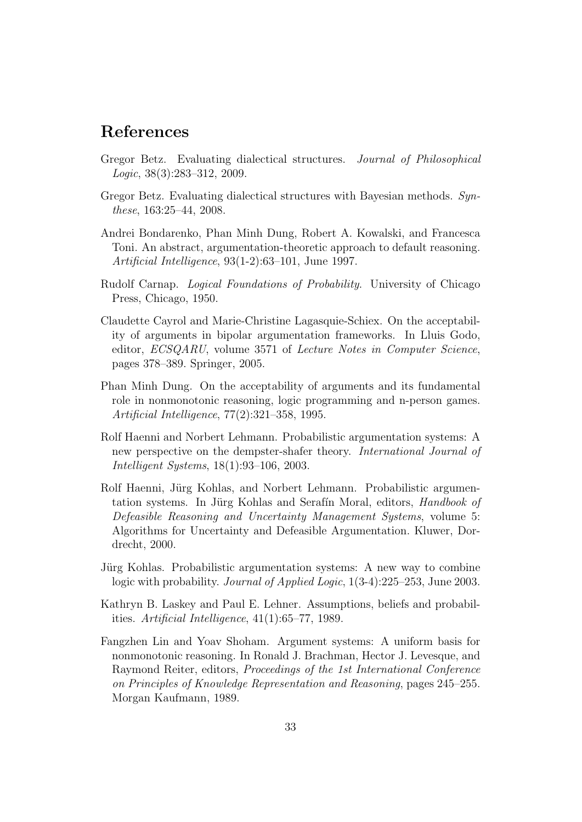# References

- Gregor Betz. Evaluating dialectical structures. Journal of Philosophical Logic, 38(3):283–312, 2009.
- Gregor Betz. Evaluating dialectical structures with Bayesian methods. Synthese, 163:25–44, 2008.
- Andrei Bondarenko, Phan Minh Dung, Robert A. Kowalski, and Francesca Toni. An abstract, argumentation-theoretic approach to default reasoning. Artificial Intelligence, 93(1-2):63–101, June 1997.
- Rudolf Carnap. Logical Foundations of Probability. University of Chicago Press, Chicago, 1950.
- Claudette Cayrol and Marie-Christine Lagasquie-Schiex. On the acceptability of arguments in bipolar argumentation frameworks. In Lluis Godo, editor, ECSQARU, volume 3571 of Lecture Notes in Computer Science, pages 378–389. Springer, 2005.
- Phan Minh Dung. On the acceptability of arguments and its fundamental role in nonmonotonic reasoning, logic programming and n-person games. Artificial Intelligence, 77(2):321–358, 1995.
- Rolf Haenni and Norbert Lehmann. Probabilistic argumentation systems: A new perspective on the dempster-shafer theory. International Journal of Intelligent Systems, 18(1):93–106, 2003.
- Rolf Haenni, Jürg Kohlas, and Norbert Lehmann. Probabilistic argumentation systems. In Jürg Kohlas and Serafín Moral, editors, Handbook of Defeasible Reasoning and Uncertainty Management Systems, volume 5: Algorithms for Uncertainty and Defeasible Argumentation. Kluwer, Dordrecht, 2000.
- Jürg Kohlas. Probabilistic argumentation systems: A new way to combine logic with probability. Journal of Applied Logic, 1(3-4):225–253, June 2003.
- Kathryn B. Laskey and Paul E. Lehner. Assumptions, beliefs and probabilities. Artificial Intelligence, 41(1):65–77, 1989.
- Fangzhen Lin and Yoav Shoham. Argument systems: A uniform basis for nonmonotonic reasoning. In Ronald J. Brachman, Hector J. Levesque, and Raymond Reiter, editors, Proceedings of the 1st International Conference on Principles of Knowledge Representation and Reasoning, pages 245–255. Morgan Kaufmann, 1989.